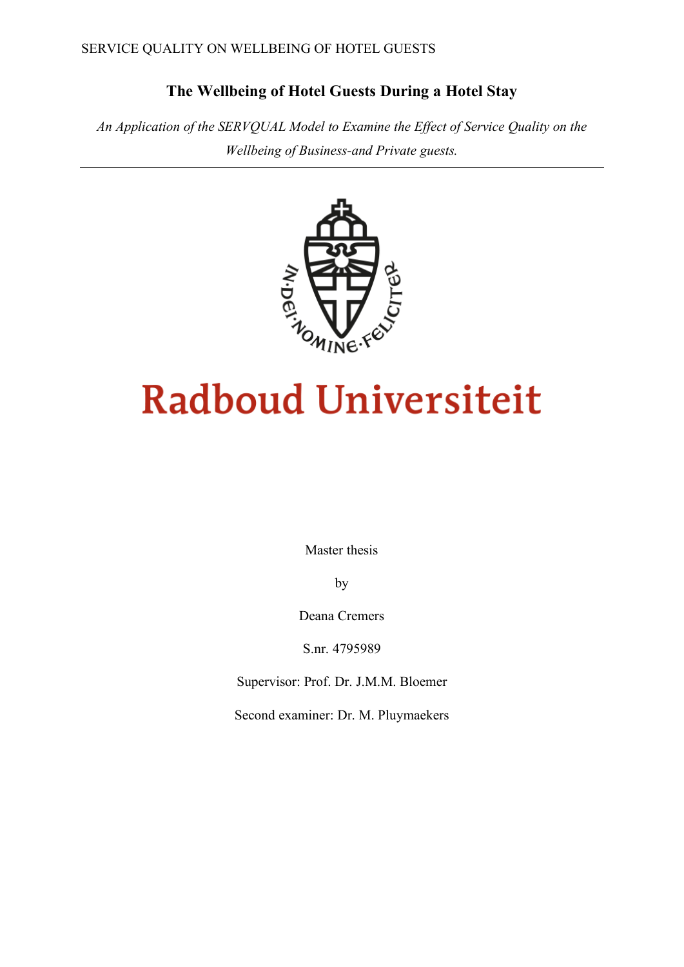# **The Wellbeing of Hotel Guests During a Hotel Stay**

*An Application of the SERVQUAL Model to Examine the Effect of Service Quality on the Wellbeing of Business-and Private guests.* 



# **Radboud Universiteit**

Master thesis

by

Deana Cremers

S.nr. 4795989

Supervisor: Prof. Dr. J.M.M. Bloemer

Second examiner: Dr. M. Pluymaekers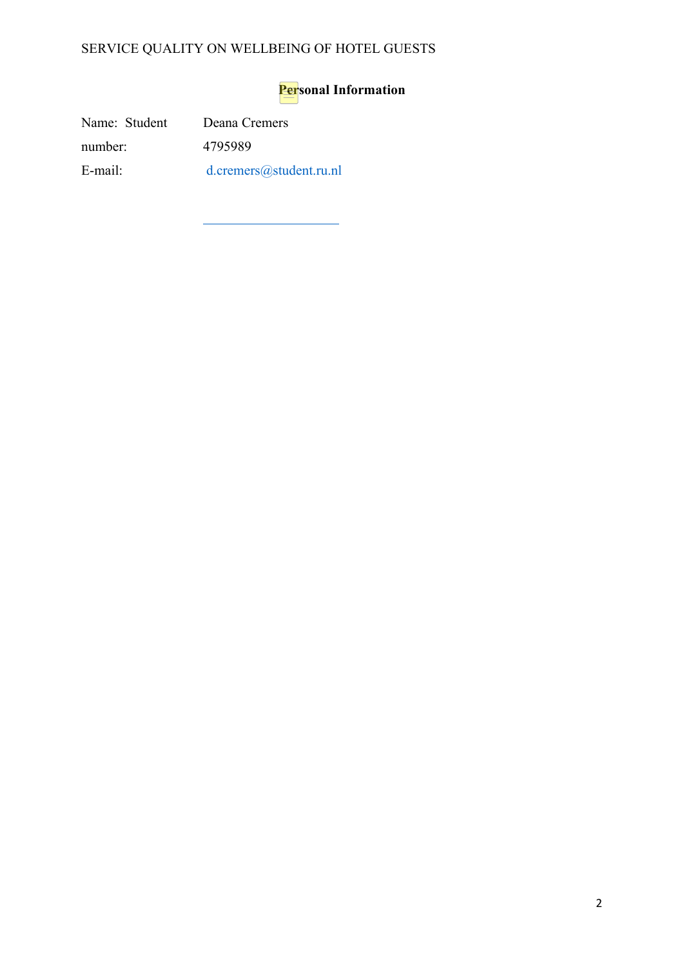# **Personal Information**

Name: Student number: E-mail: Deana Cremers 4795989 d.cremers@student.ru.nl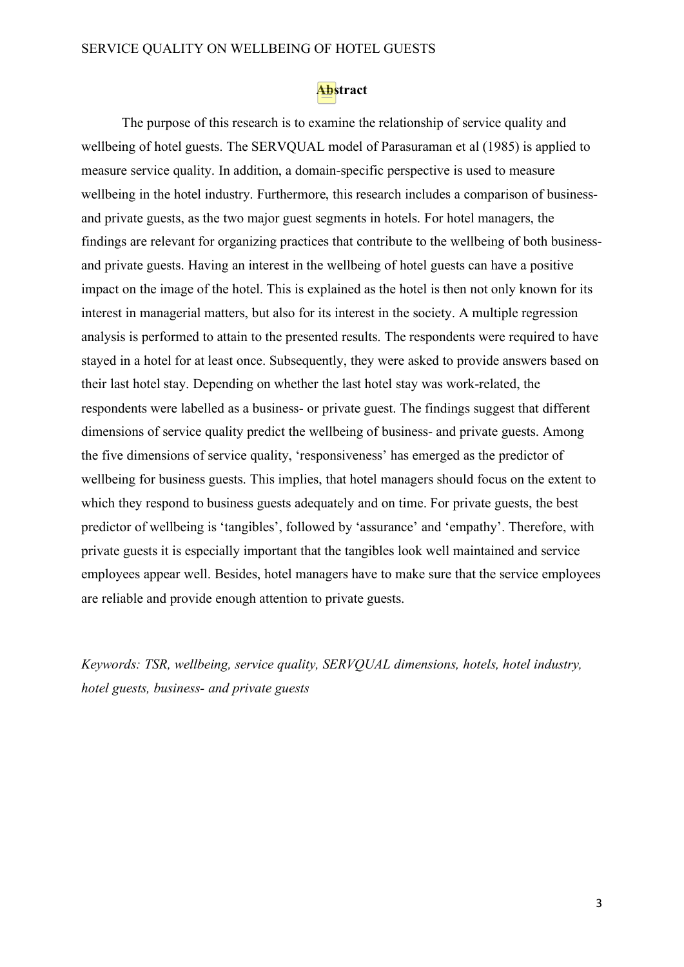# **Abstract**

The purpose of this research is to examine the relationship of service quality and wellbeing of hotel guests. The SERVQUAL model of Parasuraman et al (1985) is applied to measure service quality. In addition, a domain-specific perspective is used to measure wellbeing in the hotel industry. Furthermore, this research includes a comparison of businessand private guests, as the two major guest segments in hotels. For hotel managers, the findings are relevant for organizing practices that contribute to the wellbeing of both businessand private guests. Having an interest in the wellbeing of hotel guests can have a positive impact on the image of the hotel. This is explained as the hotel is then not only known for its interest in managerial matters, but also for its interest in the society. A multiple regression analysis is performed to attain to the presented results. The respondents were required to have stayed in a hotel for at least once. Subsequently, they were asked to provide answers based on their last hotel stay. Depending on whether the last hotel stay was work-related, the respondents were labelled as a business- or private guest. The findings suggest that different dimensions of service quality predict the wellbeing of business- and private guests. Among the five dimensions of service quality, 'responsiveness' has emerged as the predictor of wellbeing for business guests. This implies, that hotel managers should focus on the extent to which they respond to business guests adequately and on time. For private guests, the best predictor of wellbeing is 'tangibles', followed by 'assurance' and 'empathy'. Therefore, with private guests it is especially important that the tangibles look well maintained and service employees appear well. Besides, hotel managers have to make sure that the service employees are reliable and provide enough attention to private guests.

*Keywords: TSR, wellbeing, service quality, SERVQUAL dimensions, hotels, hotel industry, hotel guests, business- and private guests*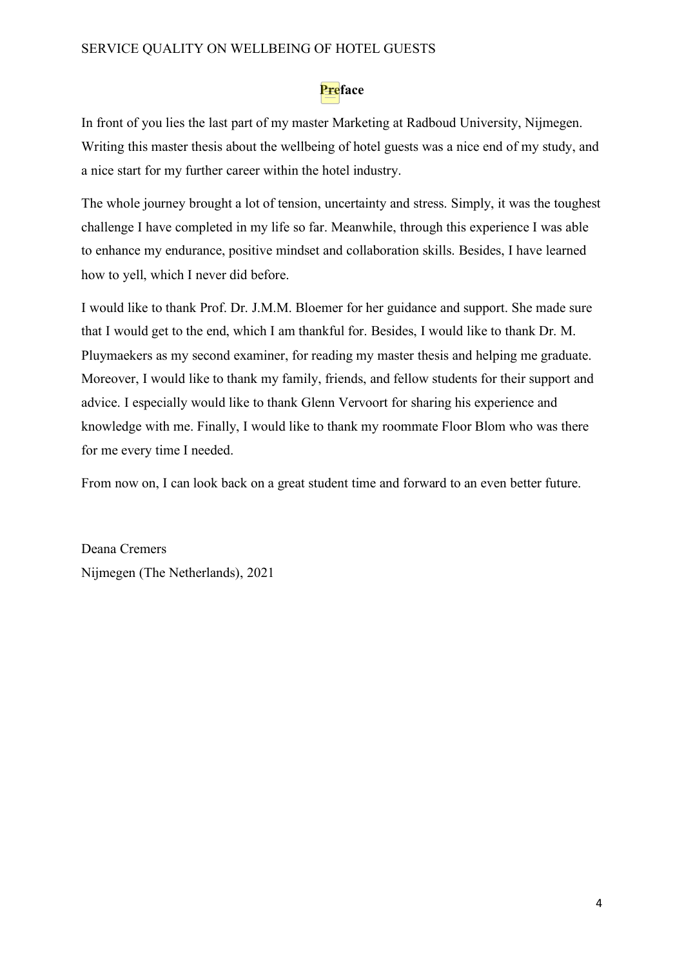# **Preface**

In front of you lies the last part of my master Marketing at Radboud University, Nijmegen. Writing this master thesis about the wellbeing of hotel guests was a nice end of my study, and a nice start for my further career within the hotel industry.

The whole journey brought a lot of tension, uncertainty and stress. Simply, it was the toughest challenge I have completed in my life so far. Meanwhile, through this experience I was able to enhance my endurance, positive mindset and collaboration skills. Besides, I have learned how to yell, which I never did before.

I would like to thank Prof. Dr. J.M.M. Bloemer for her guidance and support. She made sure that I would get to the end, which I am thankful for. Besides, I would like to thank Dr. M. Pluymaekers as my second examiner, for reading my master thesis and helping me graduate. Moreover, I would like to thank my family, friends, and fellow students for their support and advice. I especially would like to thank Glenn Vervoort for sharing his experience and knowledge with me. Finally, I would like to thank my roommate Floor Blom who was there for me every time I needed.

From now on, I can look back on a great student time and forward to an even better future.

Deana Cremers Nijmegen (The Netherlands), 2021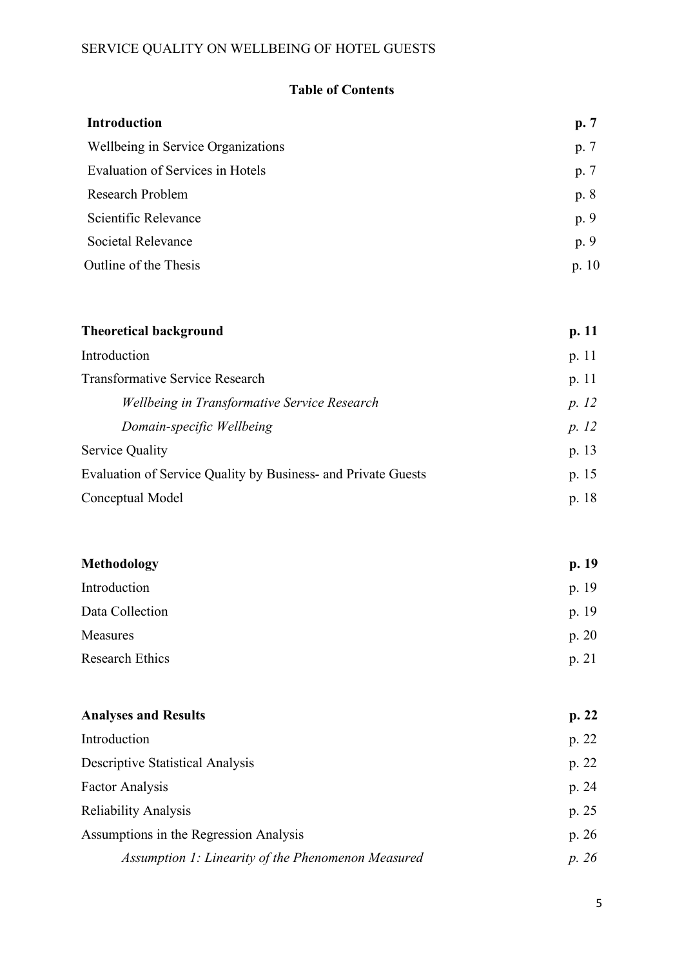# **Table of Contents**

| <b>Introduction</b>                | p.7     |
|------------------------------------|---------|
| Wellbeing in Service Organizations | p. 7    |
| Evaluation of Services in Hotels   | p. 7    |
| Research Problem                   | p. 8    |
| Scientific Relevance               | p. 9    |
| Societal Relevance                 | p. 9    |
| Outline of the Thesis              | p. $10$ |

| <b>Theoretical background</b>                                 | p. 11   |
|---------------------------------------------------------------|---------|
| Introduction                                                  | p. $11$ |
| <b>Transformative Service Research</b>                        | p.11    |
| Wellbeing in Transformative Service Research                  | p. 12   |
| Domain-specific Wellbeing                                     | p. 12   |
| Service Quality                                               | p. 13   |
| Evaluation of Service Quality by Business- and Private Guests | p. 15   |
| Conceptual Model                                              | p. 18   |

| <b>Methodology</b>     | p.19  |
|------------------------|-------|
| Introduction           | p. 19 |
| Data Collection        | p. 19 |
| <b>Measures</b>        | p. 20 |
| <b>Research Ethics</b> | p. 21 |

| <b>Analyses and Results</b>                        | p. 22 |
|----------------------------------------------------|-------|
| Introduction                                       | p. 22 |
| <b>Descriptive Statistical Analysis</b>            | p. 22 |
| <b>Factor Analysis</b>                             | p. 24 |
| Reliability Analysis                               | p. 25 |
| Assumptions in the Regression Analysis             | p. 26 |
| Assumption 1: Linearity of the Phenomenon Measured | p. 26 |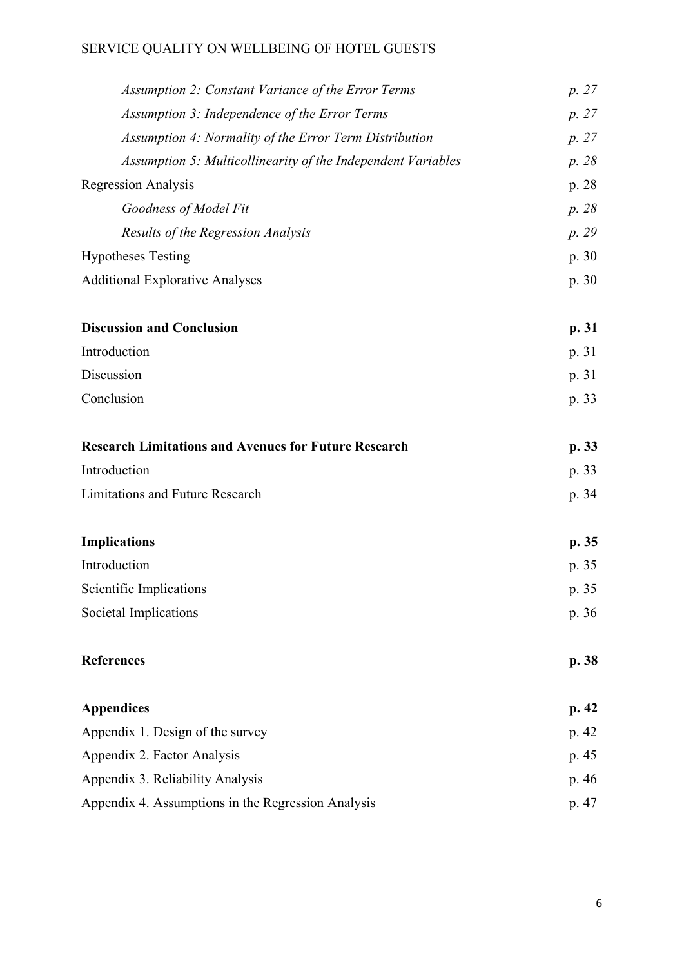| <b>Assumption 2: Constant Variance of the Error Terms</b>    | p. 27 |
|--------------------------------------------------------------|-------|
| Assumption 3: Independence of the Error Terms                | p. 27 |
| Assumption 4: Normality of the Error Term Distribution       | p. 27 |
| Assumption 5: Multicollinearity of the Independent Variables | p. 28 |
| <b>Regression Analysis</b>                                   | p. 28 |
| Goodness of Model Fit                                        | p. 28 |
| Results of the Regression Analysis                           | p. 29 |
| <b>Hypotheses Testing</b>                                    | p. 30 |
| <b>Additional Explorative Analyses</b>                       | p. 30 |
| <b>Discussion and Conclusion</b>                             | p. 31 |
| Introduction                                                 | p. 31 |
| Discussion                                                   | p. 31 |
| Conclusion                                                   | p. 33 |
| <b>Research Limitations and Avenues for Future Research</b>  | p. 33 |
| Introduction                                                 | p. 33 |
| <b>Limitations and Future Research</b>                       | p. 34 |
| <b>Implications</b>                                          | p. 35 |
| Introduction                                                 | p. 35 |
| Scientific Implications                                      | p. 35 |
| Societal Implications                                        | p. 36 |
| <b>References</b>                                            | p. 38 |
| <b>Appendices</b>                                            | p. 42 |
| Appendix 1. Design of the survey                             | p. 42 |
| Appendix 2. Factor Analysis                                  | p. 45 |
| Appendix 3. Reliability Analysis                             | p. 46 |
| Appendix 4. Assumptions in the Regression Analysis           | p. 47 |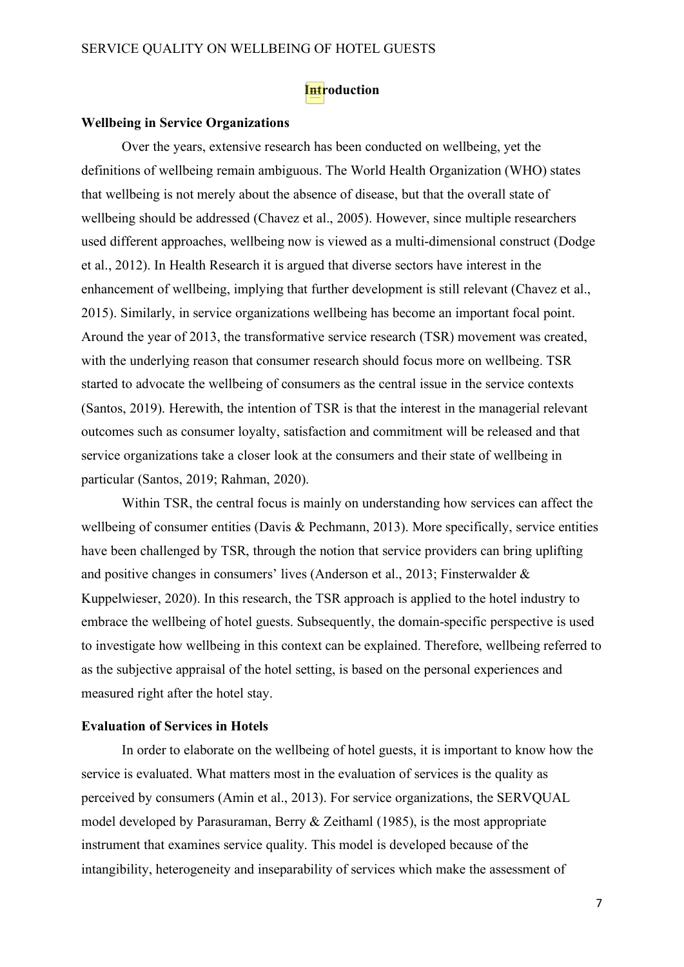### **Introduction**

#### **Wellbeing in Service Organizations**

Over the years, extensive research has been conducted on wellbeing, yet the definitions of wellbeing remain ambiguous. The World Health Organization (WHO) states that wellbeing is not merely about the absence of disease, but that the overall state of wellbeing should be addressed (Chavez et al., 2005). However, since multiple researchers used different approaches, wellbeing now is viewed as a multi-dimensional construct (Dodge et al., 2012). In Health Research it is argued that diverse sectors have interest in the enhancement of wellbeing, implying that further development is still relevant (Chavez et al., 2015). Similarly, in service organizations wellbeing has become an important focal point. Around the year of 2013, the transformative service research (TSR) movement was created, with the underlying reason that consumer research should focus more on wellbeing. TSR started to advocate the wellbeing of consumers as the central issue in the service contexts (Santos, 2019). Herewith, the intention of TSR is that the interest in the managerial relevant outcomes such as consumer loyalty, satisfaction and commitment will be released and that service organizations take a closer look at the consumers and their state of wellbeing in particular (Santos, 2019; Rahman, 2020).

Within TSR, the central focus is mainly on understanding how services can affect the wellbeing of consumer entities (Davis & Pechmann, 2013). More specifically, service entities have been challenged by TSR, through the notion that service providers can bring uplifting and positive changes in consumers' lives (Anderson et al., 2013; Finsterwalder & Kuppelwieser, 2020). In this research, the TSR approach is applied to the hotel industry to embrace the wellbeing of hotel guests. Subsequently, the domain-specific perspective is used to investigate how wellbeing in this context can be explained. Therefore, wellbeing referred to as the subjective appraisal of the hotel setting, is based on the personal experiences and measured right after the hotel stay.

#### **Evaluation of Services in Hotels**

In order to elaborate on the wellbeing of hotel guests, it is important to know how the service is evaluated. What matters most in the evaluation of services is the quality as perceived by consumers (Amin et al., 2013). For service organizations, the SERVQUAL model developed by Parasuraman, Berry & Zeithaml (1985), is the most appropriate instrument that examines service quality. This model is developed because of the intangibility, heterogeneity and inseparability of services which make the assessment of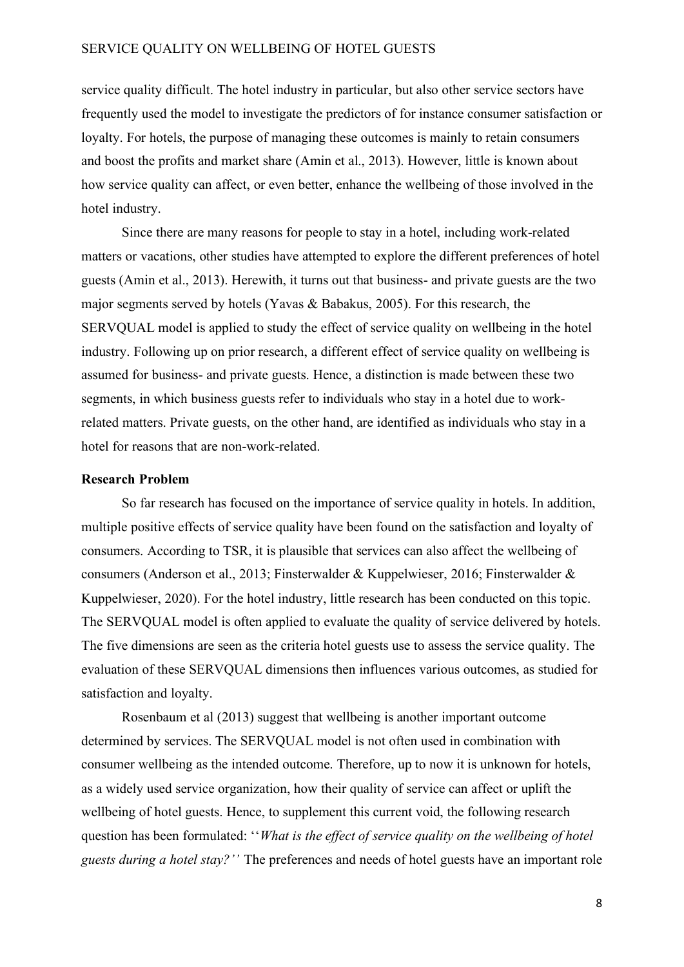service quality difficult. The hotel industry in particular, but also other service sectors have frequently used the model to investigate the predictors of for instance consumer satisfaction or loyalty. For hotels, the purpose of managing these outcomes is mainly to retain consumers and boost the profits and market share (Amin et al., 2013). However, little is known about how service quality can affect, or even better, enhance the wellbeing of those involved in the hotel industry.

Since there are many reasons for people to stay in a hotel, including work-related matters or vacations, other studies have attempted to explore the different preferences of hotel guests (Amin et al., 2013). Herewith, it turns out that business- and private guests are the two major segments served by hotels (Yavas & Babakus, 2005). For this research, the SERVQUAL model is applied to study the effect of service quality on wellbeing in the hotel industry. Following up on prior research, a different effect of service quality on wellbeing is assumed for business- and private guests. Hence, a distinction is made between these two segments, in which business guests refer to individuals who stay in a hotel due to workrelated matters. Private guests, on the other hand, are identified as individuals who stay in a hotel for reasons that are non-work-related.

#### **Research Problem**

So far research has focused on the importance of service quality in hotels. In addition, multiple positive effects of service quality have been found on the satisfaction and loyalty of consumers. According to TSR, it is plausible that services can also affect the wellbeing of consumers (Anderson et al., 2013; Finsterwalder & Kuppelwieser, 2016; Finsterwalder & Kuppelwieser, 2020). For the hotel industry, little research has been conducted on this topic. The SERVQUAL model is often applied to evaluate the quality of service delivered by hotels. The five dimensions are seen as the criteria hotel guests use to assess the service quality. The evaluation of these SERVQUAL dimensions then influences various outcomes, as studied for satisfaction and loyalty.

Rosenbaum et al (2013) suggest that wellbeing is another important outcome determined by services. The SERVQUAL model is not often used in combination with consumer wellbeing as the intended outcome. Therefore, up to now it is unknown for hotels, as a widely used service organization, how their quality of service can affect or uplift the wellbeing of hotel guests. Hence, to supplement this current void, the following research question has been formulated: ''*What is the effect of service quality on the wellbeing of hotel guests during a hotel stay?''* The preferences and needs of hotel guests have an important role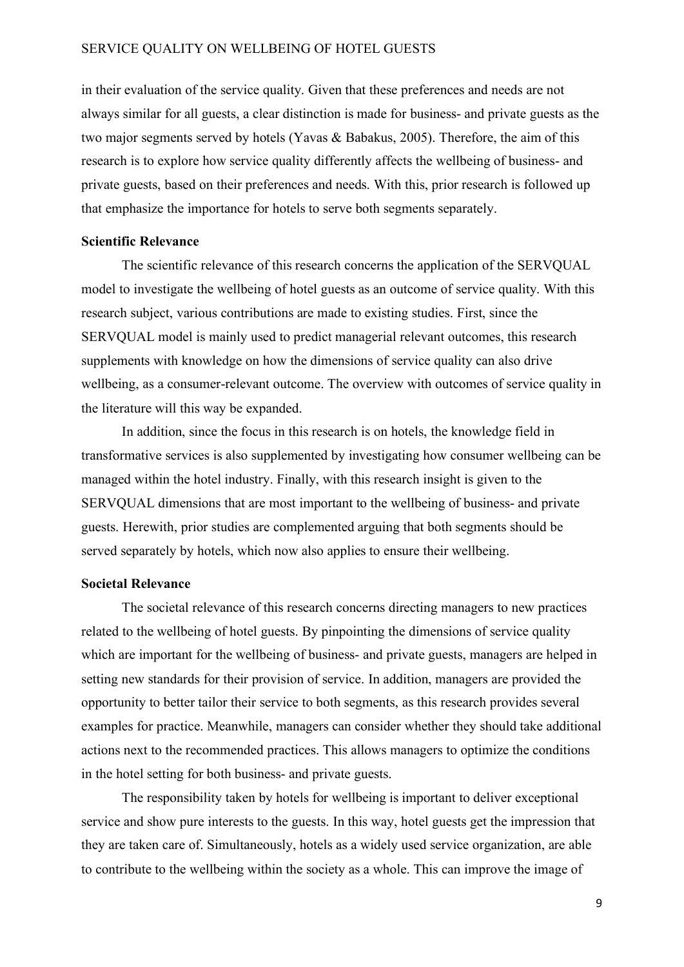in their evaluation of the service quality. Given that these preferences and needs are not always similar for all guests, a clear distinction is made for business- and private guests as the two major segments served by hotels (Yavas & Babakus, 2005). Therefore, the aim of this research is to explore how service quality differently affects the wellbeing of business- and private guests, based on their preferences and needs. With this, prior research is followed up that emphasize the importance for hotels to serve both segments separately.

#### **Scientific Relevance**

The scientific relevance of this research concerns the application of the SERVQUAL model to investigate the wellbeing of hotel guests as an outcome of service quality. With this research subject, various contributions are made to existing studies. First, since the SERVQUAL model is mainly used to predict managerial relevant outcomes, this research supplements with knowledge on how the dimensions of service quality can also drive wellbeing, as a consumer-relevant outcome. The overview with outcomes of service quality in the literature will this way be expanded.

In addition, since the focus in this research is on hotels, the knowledge field in transformative services is also supplemented by investigating how consumer wellbeing can be managed within the hotel industry. Finally, with this research insight is given to the SERVQUAL dimensions that are most important to the wellbeing of business- and private guests. Herewith, prior studies are complemented arguing that both segments should be served separately by hotels, which now also applies to ensure their wellbeing.

#### **Societal Relevance**

The societal relevance of this research concerns directing managers to new practices related to the wellbeing of hotel guests. By pinpointing the dimensions of service quality which are important for the wellbeing of business- and private guests, managers are helped in setting new standards for their provision of service. In addition, managers are provided the opportunity to better tailor their service to both segments, as this research provides several examples for practice. Meanwhile, managers can consider whether they should take additional actions next to the recommended practices. This allows managers to optimize the conditions in the hotel setting for both business- and private guests.

The responsibility taken by hotels for wellbeing is important to deliver exceptional service and show pure interests to the guests. In this way, hotel guests get the impression that they are taken care of. Simultaneously, hotels as a widely used service organization, are able to contribute to the wellbeing within the society as a whole. This can improve the image of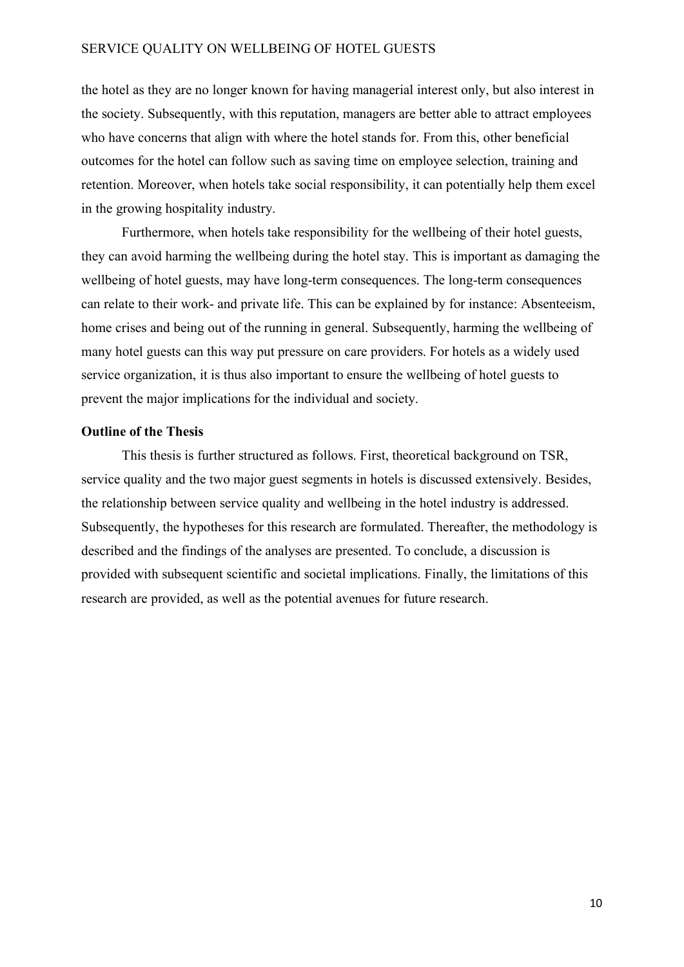the hotel as they are no longer known for having managerial interest only, but also interest in the society. Subsequently, with this reputation, managers are better able to attract employees who have concerns that align with where the hotel stands for. From this, other beneficial outcomes for the hotel can follow such as saving time on employee selection, training and retention. Moreover, when hotels take social responsibility, it can potentially help them excel in the growing hospitality industry.

Furthermore, when hotels take responsibility for the wellbeing of their hotel guests, they can avoid harming the wellbeing during the hotel stay. This is important as damaging the wellbeing of hotel guests, may have long-term consequences. The long-term consequences can relate to their work- and private life. This can be explained by for instance: Absenteeism, home crises and being out of the running in general. Subsequently, harming the wellbeing of many hotel guests can this way put pressure on care providers. For hotels as a widely used service organization, it is thus also important to ensure the wellbeing of hotel guests to prevent the major implications for the individual and society.

#### **Outline of the Thesis**

This thesis is further structured as follows. First, theoretical background on TSR, service quality and the two major guest segments in hotels is discussed extensively. Besides, the relationship between service quality and wellbeing in the hotel industry is addressed. Subsequently, the hypotheses for this research are formulated. Thereafter, the methodology is described and the findings of the analyses are presented. To conclude, a discussion is provided with subsequent scientific and societal implications. Finally, the limitations of this research are provided, as well as the potential avenues for future research.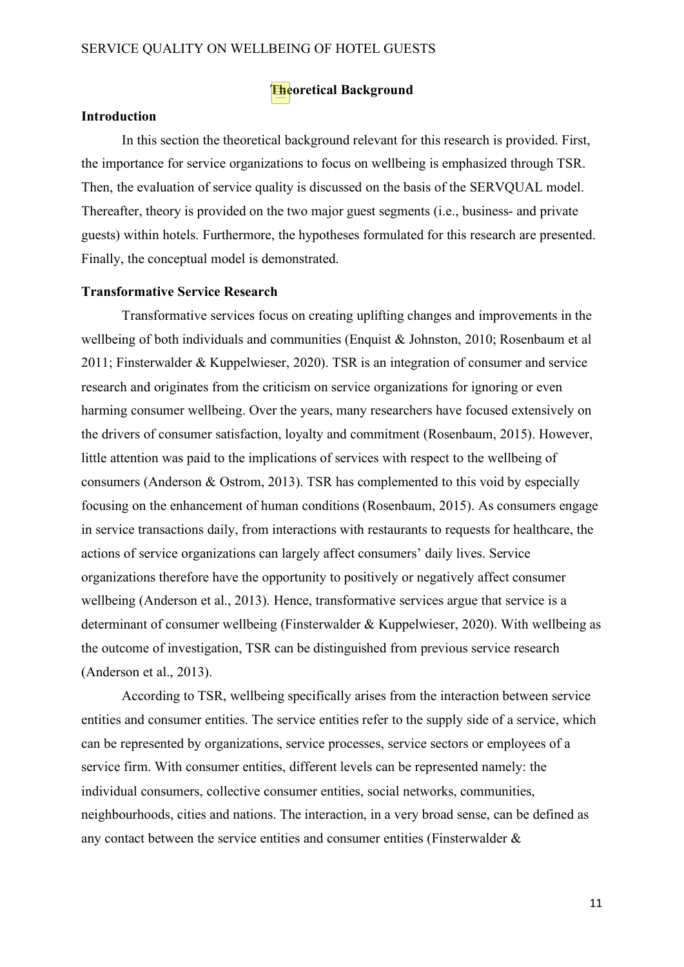#### **Theoretical Background**

#### **Introduction**

In this section the theoretical background relevant for this research is provided. First, the importance for service organizations to focus on wellbeing is emphasized through TSR. Then, the evaluation of service quality is discussed on the basis of the SERVQUAL model. Thereafter, theory is provided on the two major guest segments (i.e., business- and private guests) within hotels. Furthermore, the hypotheses formulated for this research are presented. Finally, the conceptual model is demonstrated.

#### **Transformative Service Research**

Transformative services focus on creating uplifting changes and improvements in the wellbeing of both individuals and communities (Enquist & Johnston, 2010; Rosenbaum et al 2011; Finsterwalder & Kuppelwieser, 2020). TSR is an integration of consumer and service research and originates from the criticism on service organizations for ignoring or even harming consumer wellbeing. Over the years, many researchers have focused extensively on the drivers of consumer satisfaction, loyalty and commitment (Rosenbaum, 2015). However, little attention was paid to the implications of services with respect to the wellbeing of consumers (Anderson & Ostrom, 2013). TSR has complemented to this void by especially focusing on the enhancement of human conditions (Rosenbaum, 2015). As consumers engage in service transactions daily, from interactions with restaurants to requests for healthcare, the actions of service organizations can largely affect consumers' daily lives. Service organizations therefore have the opportunity to positively or negatively affect consumer wellbeing (Anderson et al., 2013). Hence, transformative services argue that service is a determinant of consumer wellbeing (Finsterwalder & Kuppelwieser, 2020). With wellbeing as the outcome of investigation, TSR can be distinguished from previous service research (Anderson et al., 2013).

According to TSR, wellbeing specifically arises from the interaction between service entities and consumer entities. The service entities refer to the supply side of a service, which can be represented by organizations, service processes, service sectors or employees of a service firm. With consumer entities, different levels can be represented namely: the individual consumers, collective consumer entities, social networks, communities, neighbourhoods, cities and nations. The interaction, in a very broad sense, can be defined as any contact between the service entities and consumer entities (Finsterwalder &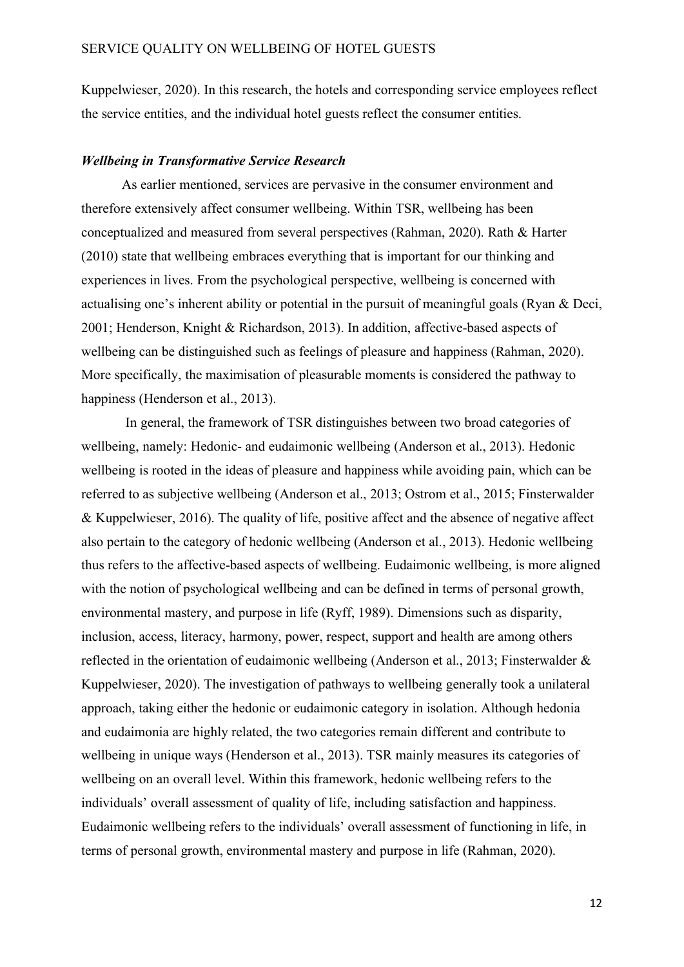Kuppelwieser, 2020). In this research, the hotels and corresponding service employees reflect the service entities, and the individual hotel guests reflect the consumer entities.

#### *Wellbeing in Transformative Service Research*

As earlier mentioned, services are pervasive in the consumer environment and therefore extensively affect consumer wellbeing. Within TSR, wellbeing has been conceptualized and measured from several perspectives (Rahman, 2020). Rath & Harter (2010) state that wellbeing embraces everything that is important for our thinking and experiences in lives. From the psychological perspective, wellbeing is concerned with actualising one's inherent ability or potential in the pursuit of meaningful goals (Ryan & Deci, 2001; Henderson, Knight & Richardson, 2013). In addition, affective-based aspects of wellbeing can be distinguished such as feelings of pleasure and happiness (Rahman, 2020). More specifically, the maximisation of pleasurable moments is considered the pathway to happiness (Henderson et al., 2013).

In general, the framework of TSR distinguishes between two broad categories of wellbeing, namely: Hedonic- and eudaimonic wellbeing (Anderson et al., 2013). Hedonic wellbeing is rooted in the ideas of pleasure and happiness while avoiding pain, which can be referred to as subjective wellbeing (Anderson et al., 2013; Ostrom et al., 2015; Finsterwalder & Kuppelwieser, 2016). The quality of life, positive affect and the absence of negative affect also pertain to the category of hedonic wellbeing (Anderson et al., 2013). Hedonic wellbeing thus refers to the affective-based aspects of wellbeing. Eudaimonic wellbeing, is more aligned with the notion of psychological wellbeing and can be defined in terms of personal growth, environmental mastery, and purpose in life (Ryff, 1989). Dimensions such as disparity, inclusion, access, literacy, harmony, power, respect, support and health are among others reflected in the orientation of eudaimonic wellbeing (Anderson et al., 2013; Finsterwalder & Kuppelwieser, 2020). The investigation of pathways to wellbeing generally took a unilateral approach, taking either the hedonic or eudaimonic category in isolation. Although hedonia and eudaimonia are highly related, the two categories remain different and contribute to wellbeing in unique ways (Henderson et al., 2013). TSR mainly measures its categories of wellbeing on an overall level. Within this framework, hedonic wellbeing refers to the individuals' overall assessment of quality of life, including satisfaction and happiness. Eudaimonic wellbeing refers to the individuals' overall assessment of functioning in life, in terms of personal growth, environmental mastery and purpose in life (Rahman, 2020).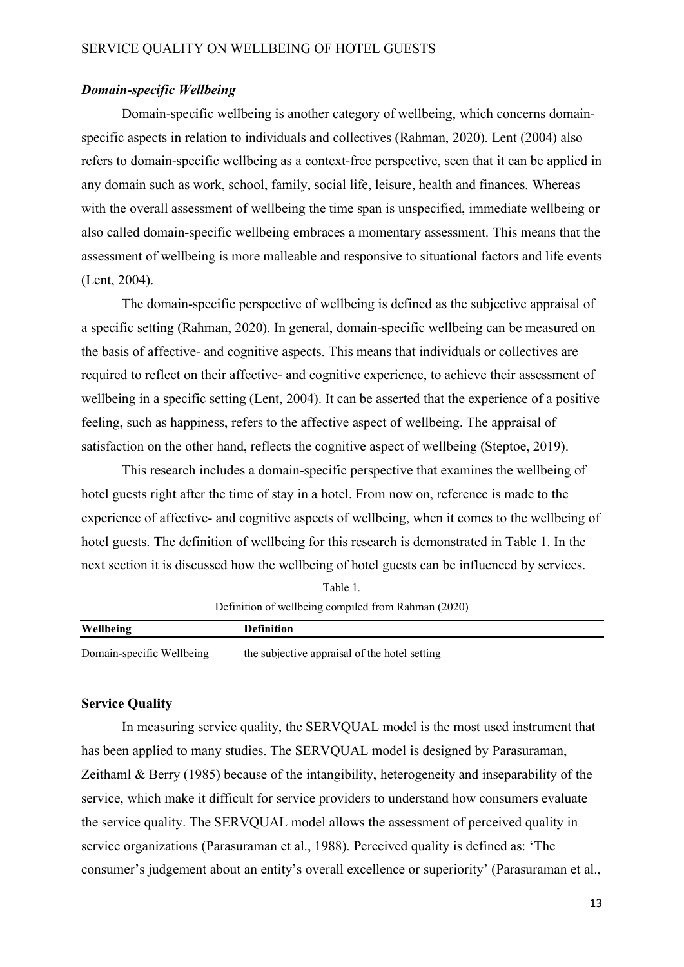#### *Domain-specific Wellbeing*

Domain-specific wellbeing is another category of wellbeing, which concerns domainspecific aspects in relation to individuals and collectives (Rahman, 2020). Lent (2004) also refers to domain-specific wellbeing as a context-free perspective, seen that it can be applied in any domain such as work, school, family, social life, leisure, health and finances. Whereas with the overall assessment of wellbeing the time span is unspecified, immediate wellbeing or also called domain-specific wellbeing embraces a momentary assessment. This means that the assessment of wellbeing is more malleable and responsive to situational factors and life events (Lent, 2004).

The domain-specific perspective of wellbeing is defined as the subjective appraisal of a specific setting (Rahman, 2020). In general, domain-specific wellbeing can be measured on the basis of affective- and cognitive aspects. This means that individuals or collectives are required to reflect on their affective- and cognitive experience, to achieve their assessment of wellbeing in a specific setting (Lent, 2004). It can be asserted that the experience of a positive feeling, such as happiness, refers to the affective aspect of wellbeing. The appraisal of satisfaction on the other hand, reflects the cognitive aspect of wellbeing (Steptoe, 2019).

This research includes a domain-specific perspective that examines the wellbeing of hotel guests right after the time of stay in a hotel. From now on, reference is made to the experience of affective- and cognitive aspects of wellbeing, when it comes to the wellbeing of hotel guests. The definition of wellbeing for this research is demonstrated in Table 1. In the next section it is discussed how the wellbeing of hotel guests can be influenced by services.

|                           | Definition of wellbeing compiled from Rahman (2020) |  |
|---------------------------|-----------------------------------------------------|--|
| <b>Wellbeing</b>          | <b>Definition</b>                                   |  |
| Domain-specific Wellbeing | the subjective appraisal of the hotel setting       |  |

Table 1.

#### **Service Quality**

In measuring service quality, the SERVQUAL model is the most used instrument that has been applied to many studies. The SERVQUAL model is designed by Parasuraman, Zeithaml & Berry (1985) because of the intangibility, heterogeneity and inseparability of the service, which make it difficult for service providers to understand how consumers evaluate the service quality. The SERVQUAL model allows the assessment of perceived quality in service organizations (Parasuraman et al., 1988). Perceived quality is defined as: 'The consumer's judgement about an entity's overall excellence or superiority' (Parasuraman et al.,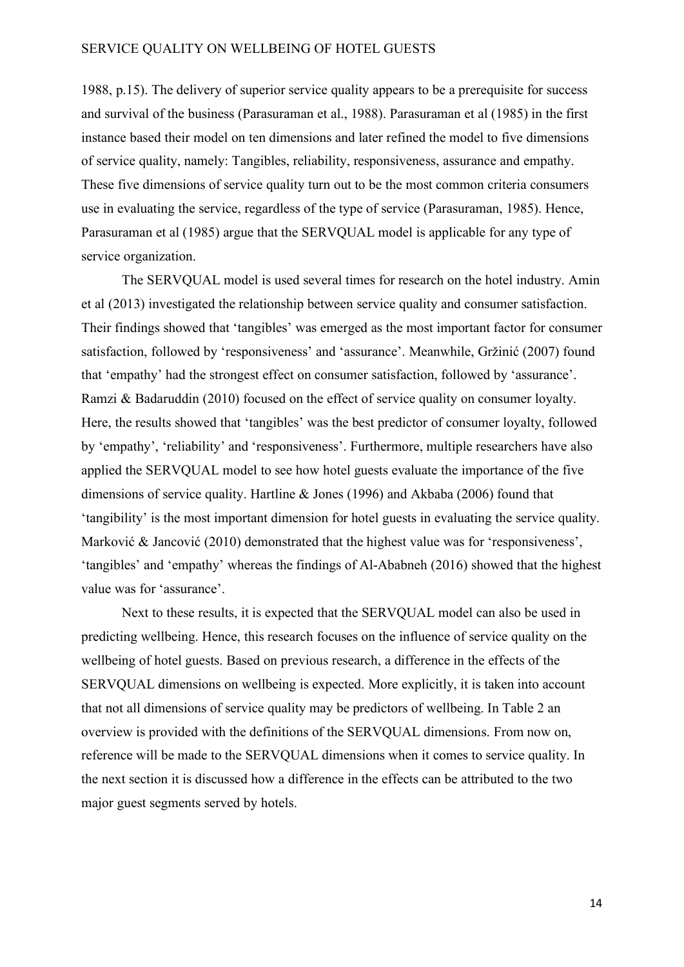1988, p.15). The delivery of superior service quality appears to be a prerequisite for success and survival of the business (Parasuraman et al., 1988). Parasuraman et al (1985) in the first instance based their model on ten dimensions and later refined the model to five dimensions of service quality, namely: Tangibles, reliability, responsiveness, assurance and empathy. These five dimensions of service quality turn out to be the most common criteria consumers use in evaluating the service, regardless of the type of service (Parasuraman, 1985). Hence, Parasuraman et al (1985) argue that the SERVQUAL model is applicable for any type of service organization.

The SERVQUAL model is used several times for research on the hotel industry. Amin et al (2013) investigated the relationship between service quality and consumer satisfaction. Their findings showed that 'tangibles' was emerged as the most important factor for consumer satisfaction, followed by 'responsiveness' and 'assurance'. Meanwhile, Gržinić (2007) found that 'empathy' had the strongest effect on consumer satisfaction, followed by 'assurance'. Ramzi & Badaruddin (2010) focused on the effect of service quality on consumer loyalty. Here, the results showed that 'tangibles' was the best predictor of consumer loyalty, followed by 'empathy', 'reliability' and 'responsiveness'. Furthermore, multiple researchers have also applied the SERVQUAL model to see how hotel guests evaluate the importance of the five dimensions of service quality. Hartline & Jones (1996) and Akbaba (2006) found that 'tangibility' is the most important dimension for hotel guests in evaluating the service quality. Marković & Jancović (2010) demonstrated that the highest value was for 'responsiveness', 'tangibles' and 'empathy' whereas the findings of Al-Ababneh (2016) showed that the highest value was for 'assurance'.

Next to these results, it is expected that the SERVQUAL model can also be used in predicting wellbeing. Hence, this research focuses on the influence of service quality on the wellbeing of hotel guests. Based on previous research, a difference in the effects of the SERVQUAL dimensions on wellbeing is expected. More explicitly, it is taken into account that not all dimensions of service quality may be predictors of wellbeing. In Table 2 an overview is provided with the definitions of the SERVQUAL dimensions. From now on, reference will be made to the SERVQUAL dimensions when it comes to service quality. In the next section it is discussed how a difference in the effects can be attributed to the two major guest segments served by hotels.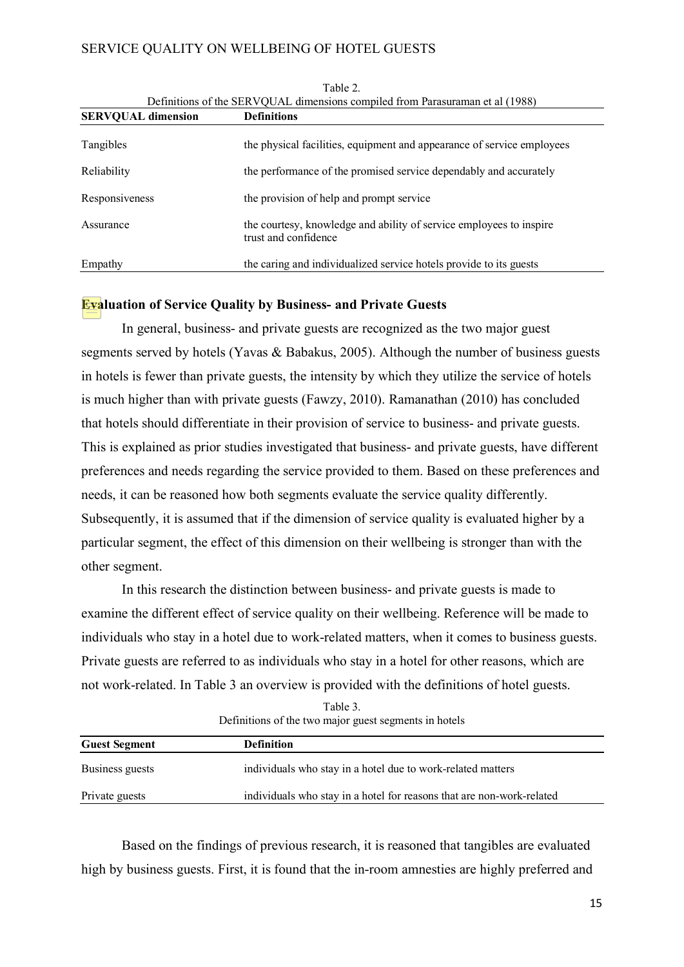| <b>SERVOUAL dimension</b> | <b>Definitions</b>                                                                          |
|---------------------------|---------------------------------------------------------------------------------------------|
| Tangibles                 | the physical facilities, equipment and appearance of service employees                      |
| Reliability               | the performance of the promised service dependably and accurately                           |
| Responsiveness            | the provision of help and prompt service                                                    |
| Assurance                 | the courtesy, knowledge and ability of service employees to inspire<br>trust and confidence |
| Empathy                   | the caring and individualized service hotels provide to its guests                          |

Table 2. Definitions of the SERVQUAL dimensions compiled from Parasuraman et al (1988)

## **Evaluation of Service Quality by Business- and Private Guests**

In general, business- and private guests are recognized as the two major guest segments served by hotels (Yavas & Babakus, 2005). Although the number of business guests in hotels is fewer than private guests, the intensity by which they utilize the service of hotels is much higher than with private guests (Fawzy, 2010). Ramanathan (2010) has concluded that hotels should differentiate in their provision of service to business- and private guests. This is explained as prior studies investigated that business- and private guests, have different preferences and needs regarding the service provided to them. Based on these preferences and needs, it can be reasoned how both segments evaluate the service quality differently. Subsequently, it is assumed that if the dimension of service quality is evaluated higher by a particular segment, the effect of this dimension on their wellbeing is stronger than with the other segment.

In this research the distinction between business- and private guests is made to examine the different effect of service quality on their wellbeing. Reference will be made to individuals who stay in a hotel due to work-related matters, when it comes to business guests. Private guests are referred to as individuals who stay in a hotel for other reasons, which are not work-related. In Table 3 an overview is provided with the definitions of hotel guests.

Table 3. Definitions of the two major guest segments in hotels

| <b>Guest Segment</b> | <b>Definition</b>                                                     |
|----------------------|-----------------------------------------------------------------------|
| Business guests      | individuals who stay in a hotel due to work-related matters           |
| Private guests       | individuals who stay in a hotel for reasons that are non-work-related |

Based on the findings of previous research, it is reasoned that tangibles are evaluated high by business guests. First, it is found that the in-room amnesties are highly preferred and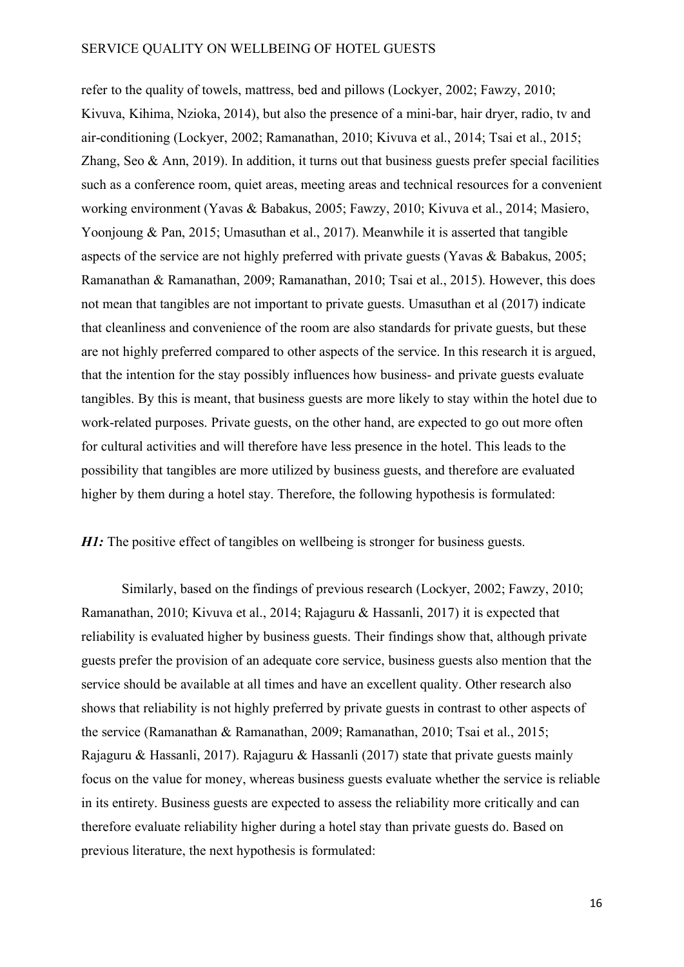refer to the quality of towels, mattress, bed and pillows (Lockyer, 2002; Fawzy, 2010; Kivuva, Kihima, Nzioka, 2014), but also the presence of a mini-bar, hair dryer, radio, tv and air-conditioning (Lockyer, 2002; Ramanathan, 2010; Kivuva et al., 2014; Tsai et al., 2015; Zhang, Seo & Ann, 2019). In addition, it turns out that business guests prefer special facilities such as a conference room, quiet areas, meeting areas and technical resources for a convenient working environment (Yavas & Babakus, 2005; Fawzy, 2010; Kivuva et al., 2014; Masiero, Yoonjoung & Pan, 2015; Umasuthan et al., 2017). Meanwhile it is asserted that tangible aspects of the service are not highly preferred with private guests (Yavas & Babakus, 2005; Ramanathan & Ramanathan, 2009; Ramanathan, 2010; Tsai et al., 2015). However, this does not mean that tangibles are not important to private guests. Umasuthan et al (2017) indicate that cleanliness and convenience of the room are also standards for private guests, but these are not highly preferred compared to other aspects of the service. In this research it is argued, that the intention for the stay possibly influences how business- and private guests evaluate tangibles. By this is meant, that business guests are more likely to stay within the hotel due to work-related purposes. Private guests, on the other hand, are expected to go out more often for cultural activities and will therefore have less presence in the hotel. This leads to the possibility that tangibles are more utilized by business guests, and therefore are evaluated higher by them during a hotel stay. Therefore, the following hypothesis is formulated:

*H1*: The positive effect of tangibles on wellbeing is stronger for business guests.

Similarly, based on the findings of previous research (Lockyer, 2002; Fawzy, 2010; Ramanathan, 2010; Kivuva et al., 2014; Rajaguru & Hassanli, 2017) it is expected that reliability is evaluated higher by business guests. Their findings show that, although private guests prefer the provision of an adequate core service, business guests also mention that the service should be available at all times and have an excellent quality. Other research also shows that reliability is not highly preferred by private guests in contrast to other aspects of the service (Ramanathan & Ramanathan, 2009; Ramanathan, 2010; Tsai et al., 2015; Rajaguru & Hassanli, 2017). Rajaguru & Hassanli (2017) state that private guests mainly focus on the value for money, whereas business guests evaluate whether the service is reliable in its entirety. Business guests are expected to assess the reliability more critically and can therefore evaluate reliability higher during a hotel stay than private guests do. Based on previous literature, the next hypothesis is formulated: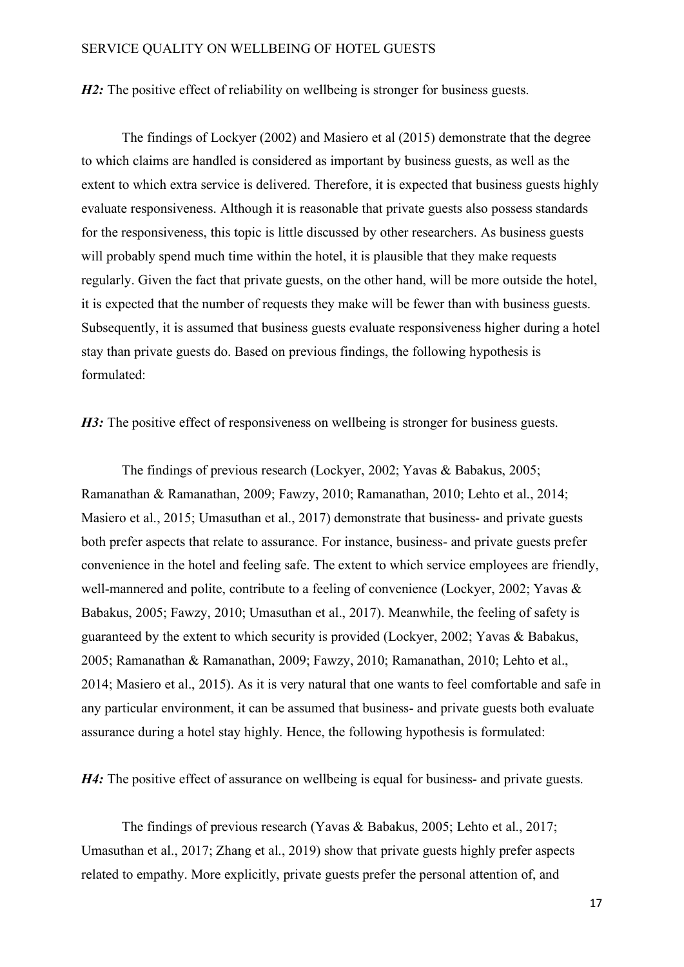*H2*: The positive effect of reliability on wellbeing is stronger for business guests.

The findings of Lockyer (2002) and Masiero et al (2015) demonstrate that the degree to which claims are handled is considered as important by business guests, as well as the extent to which extra service is delivered. Therefore, it is expected that business guests highly evaluate responsiveness. Although it is reasonable that private guests also possess standards for the responsiveness, this topic is little discussed by other researchers. As business guests will probably spend much time within the hotel, it is plausible that they make requests regularly. Given the fact that private guests, on the other hand, will be more outside the hotel, it is expected that the number of requests they make will be fewer than with business guests. Subsequently, it is assumed that business guests evaluate responsiveness higher during a hotel stay than private guests do. Based on previous findings, the following hypothesis is formulated:

*H3*: The positive effect of responsiveness on wellbeing is stronger for business guests.

The findings of previous research (Lockyer, 2002; Yavas & Babakus, 2005; Ramanathan & Ramanathan, 2009; Fawzy, 2010; Ramanathan, 2010; Lehto et al., 2014; Masiero et al., 2015; Umasuthan et al., 2017) demonstrate that business- and private guests both prefer aspects that relate to assurance. For instance, business- and private guests prefer convenience in the hotel and feeling safe. The extent to which service employees are friendly, well-mannered and polite, contribute to a feeling of convenience (Lockyer, 2002; Yavas & Babakus, 2005; Fawzy, 2010; Umasuthan et al., 2017). Meanwhile, the feeling of safety is guaranteed by the extent to which security is provided (Lockyer, 2002; Yavas & Babakus, 2005; Ramanathan & Ramanathan, 2009; Fawzy, 2010; Ramanathan, 2010; Lehto et al., 2014; Masiero et al., 2015). As it is very natural that one wants to feel comfortable and safe in any particular environment, it can be assumed that business- and private guests both evaluate assurance during a hotel stay highly. Hence, the following hypothesis is formulated:

*H4*: The positive effect of assurance on wellbeing is equal for business- and private guests.

The findings of previous research (Yavas & Babakus, 2005; Lehto et al., 2017; Umasuthan et al., 2017; Zhang et al., 2019) show that private guests highly prefer aspects related to empathy. More explicitly, private guests prefer the personal attention of, and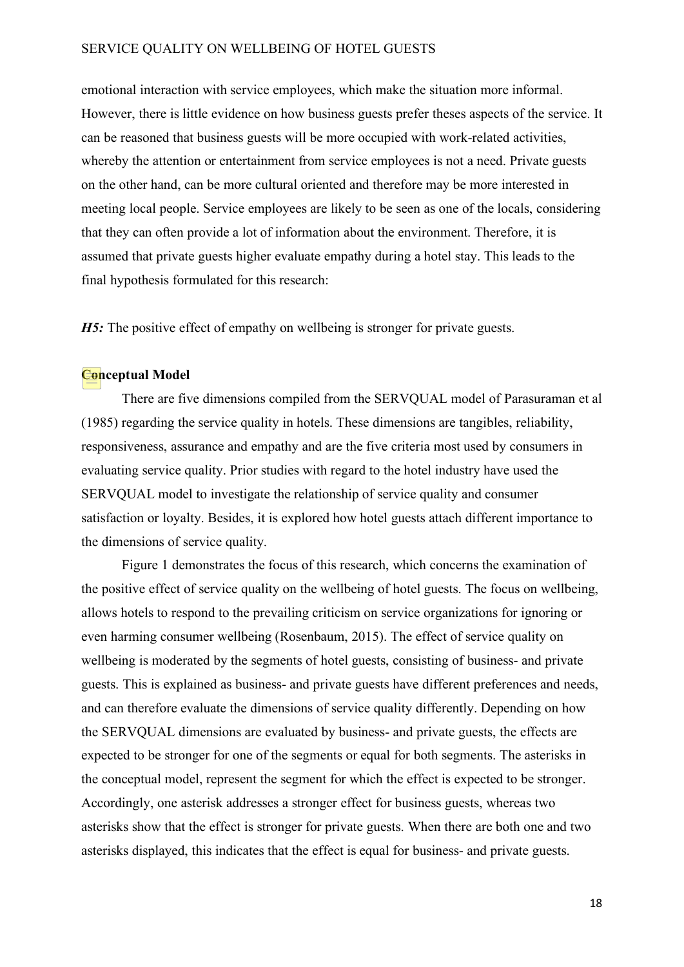emotional interaction with service employees, which make the situation more informal. However, there is little evidence on how business guests prefer theses aspects of the service. It can be reasoned that business guests will be more occupied with work-related activities, whereby the attention or entertainment from service employees is not a need. Private guests on the other hand, can be more cultural oriented and therefore may be more interested in meeting local people. Service employees are likely to be seen as one of the locals, considering that they can often provide a lot of information about the environment. Therefore, it is assumed that private guests higher evaluate empathy during a hotel stay. This leads to the final hypothesis formulated for this research:

*H5*: The positive effect of empathy on wellbeing is stronger for private guests.

## **Conceptual Model**

There are five dimensions compiled from the SERVQUAL model of Parasuraman et al (1985) regarding the service quality in hotels. These dimensions are tangibles, reliability, responsiveness, assurance and empathy and are the five criteria most used by consumers in evaluating service quality. Prior studies with regard to the hotel industry have used the SERVQUAL model to investigate the relationship of service quality and consumer satisfaction or loyalty. Besides, it is explored how hotel guests attach different importance to the dimensions of service quality.

Figure 1 demonstrates the focus of this research, which concerns the examination of the positive effect of service quality on the wellbeing of hotel guests. The focus on wellbeing, allows hotels to respond to the prevailing criticism on service organizations for ignoring or even harming consumer wellbeing (Rosenbaum, 2015). The effect of service quality on wellbeing is moderated by the segments of hotel guests, consisting of business- and private guests. This is explained as business- and private guests have different preferences and needs, and can therefore evaluate the dimensions of service quality differently. Depending on how the SERVQUAL dimensions are evaluated by business- and private guests, the effects are expected to be stronger for one of the segments or equal for both segments. The asterisks in the conceptual model, represent the segment for which the effect is expected to be stronger. Accordingly, one asterisk addresses a stronger effect for business guests, whereas two asterisks show that the effect is stronger for private guests. When there are both one and two asterisks displayed, this indicates that the effect is equal for business- and private guests.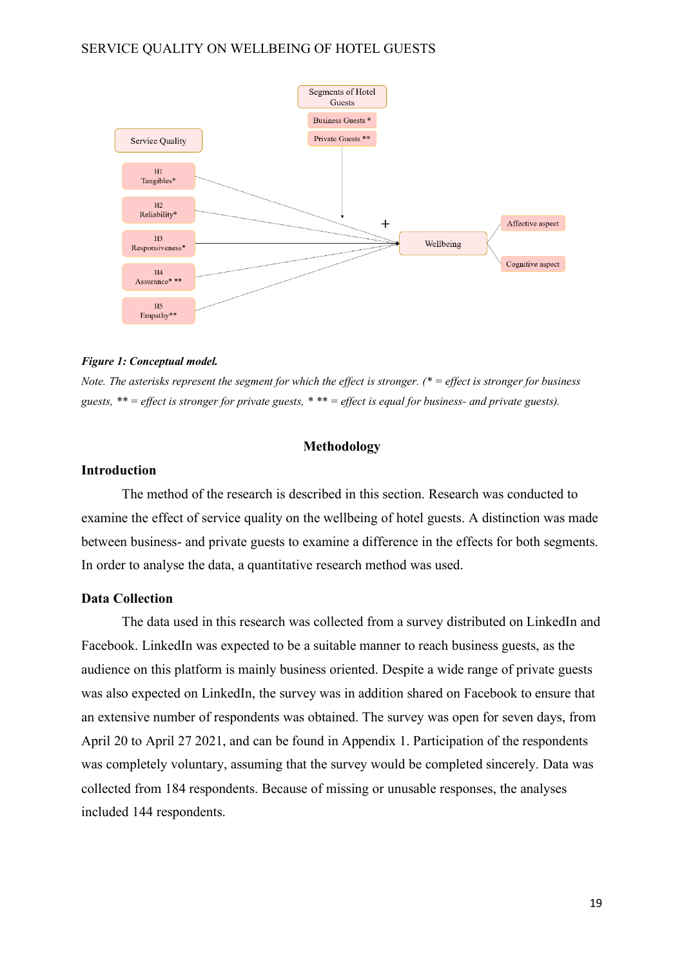

#### *Figure 1: Conceptual model.*

*Note. The asterisks represent the segment for which the effect is stronger. (\* = effect is stronger for business guests, \*\* = effect is stronger for private guests, \* \*\* = effect is equal for business- and private guests).* 

#### **Methodology**

#### **Introduction**

The method of the research is described in this section. Research was conducted to examine the effect of service quality on the wellbeing of hotel guests. A distinction was made between business- and private guests to examine a difference in the effects for both segments. In order to analyse the data, a quantitative research method was used.

#### **Data Collection**

The data used in this research was collected from a survey distributed on LinkedIn and Facebook. LinkedIn was expected to be a suitable manner to reach business guests, as the audience on this platform is mainly business oriented. Despite a wide range of private guests was also expected on LinkedIn, the survey was in addition shared on Facebook to ensure that an extensive number of respondents was obtained. The survey was open for seven days, from April 20 to April 27 2021, and can be found in Appendix 1. Participation of the respondents was completely voluntary, assuming that the survey would be completed sincerely. Data was collected from 184 respondents. Because of missing or unusable responses, the analyses included 144 respondents.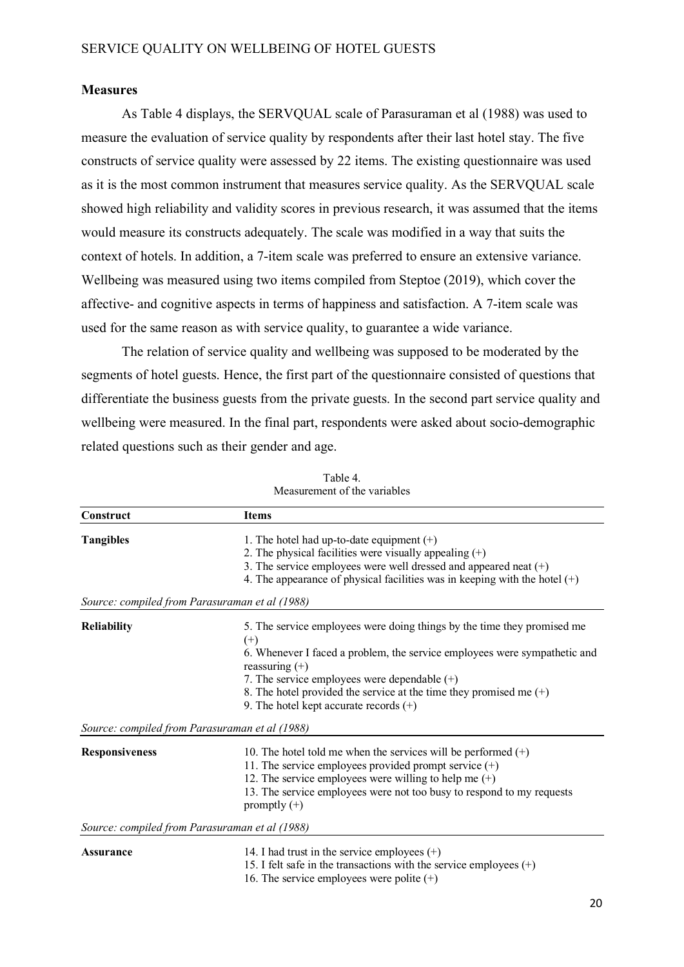#### **Measures**

As Table 4 displays, the SERVQUAL scale of Parasuraman et al (1988) was used to measure the evaluation of service quality by respondents after their last hotel stay. The five constructs of service quality were assessed by 22 items. The existing questionnaire was used as it is the most common instrument that measures service quality. As the SERVQUAL scale showed high reliability and validity scores in previous research, it was assumed that the items would measure its constructs adequately. The scale was modified in a way that suits the context of hotels. In addition, a 7-item scale was preferred to ensure an extensive variance. Wellbeing was measured using two items compiled from Steptoe (2019), which cover the affective- and cognitive aspects in terms of happiness and satisfaction. A 7-item scale was used for the same reason as with service quality, to guarantee a wide variance.

The relation of service quality and wellbeing was supposed to be moderated by the segments of hotel guests. Hence, the first part of the questionnaire consisted of questions that differentiate the business guests from the private guests. In the second part service quality and wellbeing were measured. In the final part, respondents were asked about socio-demographic related questions such as their gender and age.

| Construct                                                          | <b>Items</b>                                                                                                                                                                                                                                                                                                                                            |
|--------------------------------------------------------------------|---------------------------------------------------------------------------------------------------------------------------------------------------------------------------------------------------------------------------------------------------------------------------------------------------------------------------------------------------------|
| <b>Tangibles</b><br>Source: compiled from Parasuraman et al (1988) | 1. The hotel had up-to-date equipment $(+)$<br>2. The physical facilities were visually appealing $(+)$<br>3. The service employees were well dressed and appeared neat (+)<br>4. The appearance of physical facilities was in keeping with the hotel $(+)$                                                                                             |
|                                                                    |                                                                                                                                                                                                                                                                                                                                                         |
| <b>Reliability</b>                                                 | 5. The service employees were doing things by the time they promised me<br>$(+)$<br>6. Whenever I faced a problem, the service employees were sympathetic and<br>reassuring $(+)$<br>7. The service employees were dependable $(+)$<br>8. The hotel provided the service at the time they promised me $(+)$<br>9. The hotel kept accurate records $(+)$ |
| Source: compiled from Parasuraman et al (1988)                     |                                                                                                                                                                                                                                                                                                                                                         |
| <b>Responsiveness</b>                                              | 10. The hotel told me when the services will be performed $(+)$<br>11. The service employees provided prompt service $(+)$<br>12. The service employees were willing to help me $(+)$<br>13. The service employees were not too busy to respond to my requests<br>promptly $(+)$                                                                        |
| Source: compiled from Parasuraman et al (1988)                     |                                                                                                                                                                                                                                                                                                                                                         |
| <b>Assurance</b>                                                   | 14. I had trust in the service employees $(+)$<br>15. I felt safe in the transactions with the service employees $(+)$<br>16. The service employees were polite $(+)$                                                                                                                                                                                   |

Table 4. Measurement of the variables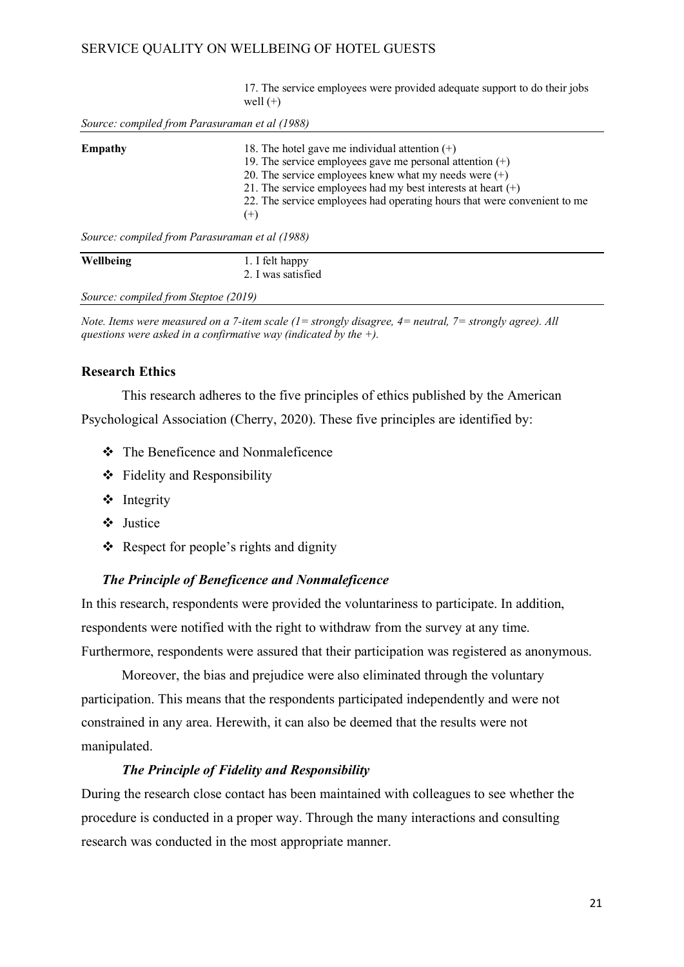17. The service employees were provided adequate support to do their jobs well  $(+)$ 

| Empathy                                        | 18. The hotel gave me individual attention $(+)$<br>19. The service employees gave me personal attention $(+)$<br>20. The service employees knew what my needs were $(+)$<br>21. The service employees had my best interests at heart $(+)$<br>22. The service employees had operating hours that were convenient to me<br>$^{(+)}$ |
|------------------------------------------------|-------------------------------------------------------------------------------------------------------------------------------------------------------------------------------------------------------------------------------------------------------------------------------------------------------------------------------------|
| Source: compiled from Parasuraman et al (1988) |                                                                                                                                                                                                                                                                                                                                     |
| Wellbeing                                      | 1. I felt happy                                                                                                                                                                                                                                                                                                                     |

*Source: compiled from Steptoe (2019)*

*Note. Items were measured on a 7-item scale (1= strongly disagree, 4= neutral, 7= strongly agree). All questions were asked in a confirmative way (indicated by the +).*

2. I was satisfied

#### **Research Ethics**

This research adheres to the five principles of ethics published by the American Psychological Association (Cherry, 2020). These five principles are identified by:

- The Beneficence and Nonmaleficence
- Fidelity and Responsibility
- ❖ Integrity
- Justice
- $\triangle$  Respect for people's rights and dignity

#### *The Principle of Beneficence and Nonmaleficence*

In this research, respondents were provided the voluntariness to participate. In addition, respondents were notified with the right to withdraw from the survey at any time. Furthermore, respondents were assured that their participation was registered as anonymous.

Moreover, the bias and prejudice were also eliminated through the voluntary participation. This means that the respondents participated independently and were not constrained in any area. Herewith, it can also be deemed that the results were not manipulated.

#### *The Principle of Fidelity and Responsibility*

During the research close contact has been maintained with colleagues to see whether the procedure is conducted in a proper way. Through the many interactions and consulting research was conducted in the most appropriate manner.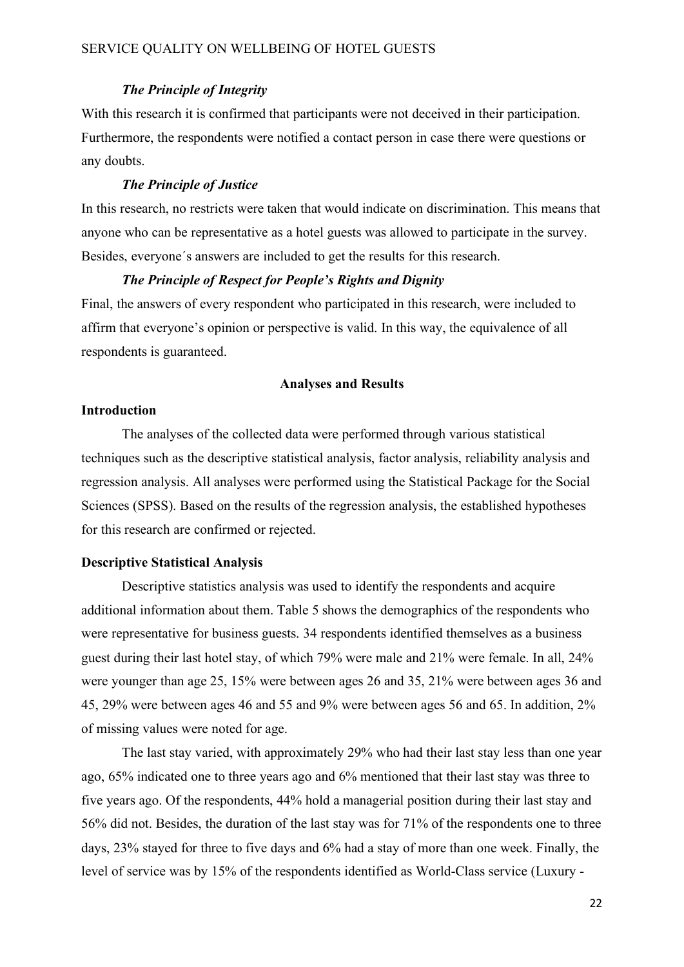#### *The Principle of Integrity*

With this research it is confirmed that participants were not deceived in their participation. Furthermore, the respondents were notified a contact person in case there were questions or any doubts.

#### *The Principle of Justice*

In this research, no restricts were taken that would indicate on discrimination. This means that anyone who can be representative as a hotel guests was allowed to participate in the survey. Besides, everyone´s answers are included to get the results for this research.

#### *The Principle of Respect for People's Rights and Dignity*

Final, the answers of every respondent who participated in this research, were included to affirm that everyone's opinion or perspective is valid. In this way, the equivalence of all respondents is guaranteed.

#### **Analyses and Results**

#### **Introduction**

The analyses of the collected data were performed through various statistical techniques such as the descriptive statistical analysis, factor analysis, reliability analysis and regression analysis. All analyses were performed using the Statistical Package for the Social Sciences (SPSS). Based on the results of the regression analysis, the established hypotheses for this research are confirmed or rejected.

#### **Descriptive Statistical Analysis**

Descriptive statistics analysis was used to identify the respondents and acquire additional information about them. Table 5 shows the demographics of the respondents who were representative for business guests. 34 respondents identified themselves as a business guest during their last hotel stay, of which 79% were male and 21% were female. In all, 24% were younger than age 25, 15% were between ages 26 and 35, 21% were between ages 36 and 45, 29% were between ages 46 and 55 and 9% were between ages 56 and 65. In addition, 2% of missing values were noted for age.

The last stay varied, with approximately 29% who had their last stay less than one year ago, 65% indicated one to three years ago and 6% mentioned that their last stay was three to five years ago. Of the respondents, 44% hold a managerial position during their last stay and 56% did not. Besides, the duration of the last stay was for 71% of the respondents one to three days, 23% stayed for three to five days and 6% had a stay of more than one week. Finally, the level of service was by 15% of the respondents identified as World-Class service (Luxury -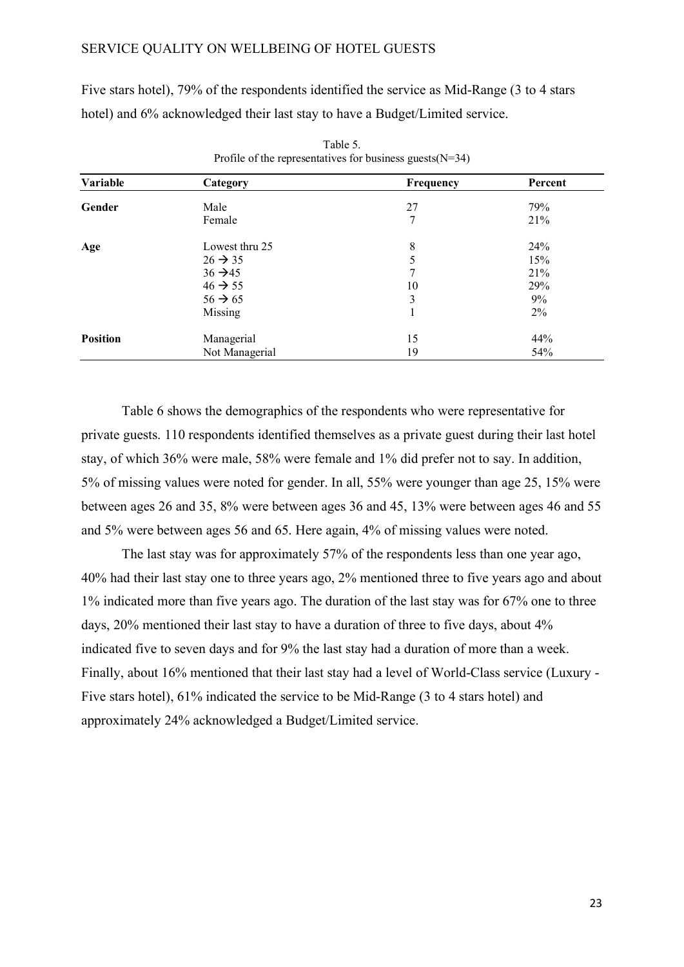Five stars hotel), 79% of the respondents identified the service as Mid-Range (3 to 4 stars hotel) and 6% acknowledged their last stay to have a Budget/Limited service.

| Variable        | Category            | Frequency | Percent |
|-----------------|---------------------|-----------|---------|
| Gender          | Male                | 27        | 79%     |
|                 | Female              | 7         | 21%     |
| Age             | Lowest thru 25      | 8         | 24%     |
|                 | $26 \rightarrow 35$ |           | 15%     |
|                 | $36 \rightarrow 45$ | 7         | 21%     |
|                 | $46 \rightarrow 55$ | 10        | 29%     |
|                 | $56 \rightarrow 65$ | 3         | 9%      |
|                 | Missing             |           | $2\%$   |
| <b>Position</b> | Managerial          | 15        | 44%     |
|                 | Not Managerial      | 19        | 54%     |

Table 5. Profile of the representatives for business guests  $(N=34)$ 

Table 6 shows the demographics of the respondents who were representative for private guests. 110 respondents identified themselves as a private guest during their last hotel stay, of which 36% were male, 58% were female and 1% did prefer not to say. In addition, 5% of missing values were noted for gender. In all, 55% were younger than age 25, 15% were between ages 26 and 35, 8% were between ages 36 and 45, 13% were between ages 46 and 55 and 5% were between ages 56 and 65. Here again, 4% of missing values were noted.

The last stay was for approximately 57% of the respondents less than one year ago, 40% had their last stay one to three years ago, 2% mentioned three to five years ago and about 1% indicated more than five years ago. The duration of the last stay was for 67% one to three days, 20% mentioned their last stay to have a duration of three to five days, about 4% indicated five to seven days and for 9% the last stay had a duration of more than a week. Finally, about 16% mentioned that their last stay had a level of World-Class service (Luxury - Five stars hotel), 61% indicated the service to be Mid-Range (3 to 4 stars hotel) and approximately 24% acknowledged a Budget/Limited service.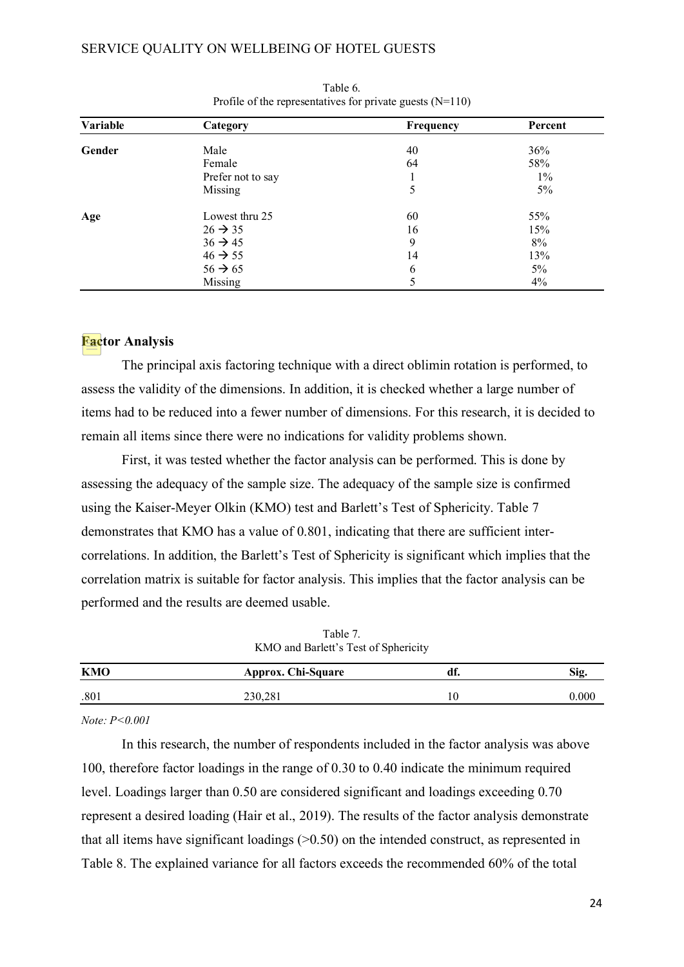| Variable | Category            | Frequency | Percent |  |
|----------|---------------------|-----------|---------|--|
| Gender   | Male                | 40        | 36%     |  |
|          | Female              | 64        | 58%     |  |
|          | Prefer not to say   |           | $1\%$   |  |
|          | Missing             | 5         | $5\%$   |  |
| Age      | Lowest thru 25      | 60        | 55%     |  |
|          | $26 \rightarrow 35$ | 16        | 15%     |  |
|          | $36 \rightarrow 45$ | 9         | 8%      |  |
|          | $46 \rightarrow 55$ | 14        | 13%     |  |
|          | $56 \rightarrow 65$ | 6         | 5%      |  |
|          | Missing             |           | 4%      |  |

Table 6. Profile of the representatives for private guests  $(N=110)$ 

#### **Factor Analysis**

The principal axis factoring technique with a direct oblimin rotation is performed, to assess the validity of the dimensions. In addition, it is checked whether a large number of items had to be reduced into a fewer number of dimensions. For this research, it is decided to remain all items since there were no indications for validity problems shown.

First, it was tested whether the factor analysis can be performed. This is done by assessing the adequacy of the sample size. The adequacy of the sample size is confirmed using the Kaiser-Meyer Olkin (KMO) test and Barlett's Test of Sphericity. Table 7 demonstrates that KMO has a value of 0.801, indicating that there are sufficient intercorrelations. In addition, the Barlett's Test of Sphericity is significant which implies that the correlation matrix is suitable for factor analysis. This implies that the factor analysis can be performed and the results are deemed usable.

| $\cdots$<br>KMO and Barlett's Test of Sphericity |                    |     |       |  |
|--------------------------------------------------|--------------------|-----|-------|--|
| <b>KMO</b>                                       | Approx. Chi-Square | df. | Sig.  |  |
| .801                                             | 230,281            | 10  | 0.000 |  |

Table 7.

*Note: P<0.001*

In this research, the number of respondents included in the factor analysis was above 100, therefore factor loadings in the range of 0.30 to 0.40 indicate the minimum required level. Loadings larger than 0.50 are considered significant and loadings exceeding 0.70 represent a desired loading (Hair et al., 2019). The results of the factor analysis demonstrate that all items have significant loadings  $(0.50)$  on the intended construct, as represented in Table 8. The explained variance for all factors exceeds the recommended 60% of the total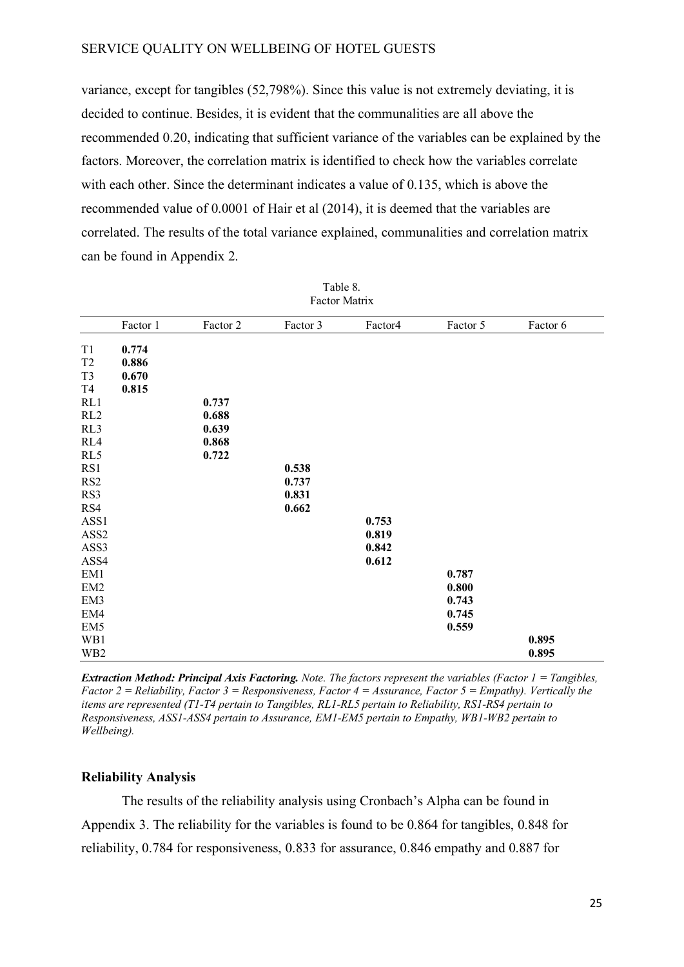variance, except for tangibles (52,798%). Since this value is not extremely deviating, it is decided to continue. Besides, it is evident that the communalities are all above the recommended 0.20, indicating that sufficient variance of the variables can be explained by the factors. Moreover, the correlation matrix is identified to check how the variables correlate with each other. Since the determinant indicates a value of 0.135, which is above the recommended value of 0.0001 of Hair et al (2014), it is deemed that the variables are correlated. The results of the total variance explained, communalities and correlation matrix can be found in Appendix 2.

|                 | Factor 1 | Factor 2 | Factor 3 | Factor4 | Factor 5 | Factor 6 |
|-----------------|----------|----------|----------|---------|----------|----------|
| T1              | 0.774    |          |          |         |          |          |
| T <sub>2</sub>  | 0.886    |          |          |         |          |          |
| T <sub>3</sub>  | 0.670    |          |          |         |          |          |
| T <sub>4</sub>  | 0.815    |          |          |         |          |          |
| RL1             |          | 0.737    |          |         |          |          |
| RL2             |          | 0.688    |          |         |          |          |
| RL3             |          | 0.639    |          |         |          |          |
| RL4             |          | 0.868    |          |         |          |          |
| RL5             |          | 0.722    |          |         |          |          |
| RS1             |          |          | 0.538    |         |          |          |
| RS <sub>2</sub> |          |          | 0.737    |         |          |          |
| RS3             |          |          | 0.831    |         |          |          |
| RS4             |          |          | 0.662    |         |          |          |
| ASS1            |          |          |          | 0.753   |          |          |
| ASS2            |          |          |          | 0.819   |          |          |
| ASS3            |          |          |          | 0.842   |          |          |
| ASS4            |          |          |          | 0.612   |          |          |
| EM1             |          |          |          |         | 0.787    |          |
| EM <sub>2</sub> |          |          |          |         | 0.800    |          |
| EM3             |          |          |          |         | 0.743    |          |
| EM4             |          |          |          |         | 0.745    |          |
| EM5             |          |          |          |         | 0.559    |          |
| WB1             |          |          |          |         |          | 0.895    |
| WB <sub>2</sub> |          |          |          |         |          | 0.895    |

Table 8. Factor Matrix

*Extraction Method: Principal Axis Factoring. Note. The factors represent the variables (Factor 1 = Tangibles, Factor 2 = Reliability, Factor 3 = Responsiveness, Factor 4 = Assurance, Factor 5 = Empathy). Vertically the items are represented (T1-T4 pertain to Tangibles, RL1-RL5 pertain to Reliability, RS1-RS4 pertain to Responsiveness, ASS1-ASS4 pertain to Assurance, EM1-EM5 pertain to Empathy, WB1-WB2 pertain to Wellbeing).*

#### **Reliability Analysis**

The results of the reliability analysis using Cronbach's Alpha can be found in Appendix 3. The reliability for the variables is found to be 0.864 for tangibles, 0.848 for reliability, 0.784 for responsiveness, 0.833 for assurance, 0.846 empathy and 0.887 for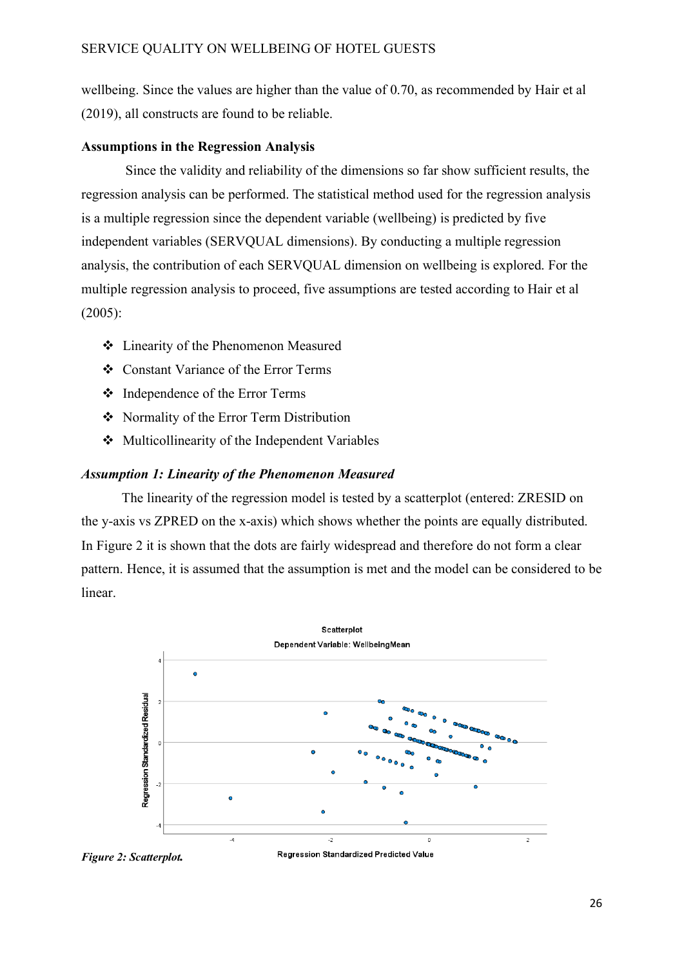wellbeing. Since the values are higher than the value of 0.70, as recommended by Hair et al (2019), all constructs are found to be reliable.

#### **Assumptions in the Regression Analysis**

Since the validity and reliability of the dimensions so far show sufficient results, the regression analysis can be performed. The statistical method used for the regression analysis is a multiple regression since the dependent variable (wellbeing) is predicted by five independent variables (SERVQUAL dimensions). By conducting a multiple regression analysis, the contribution of each SERVQUAL dimension on wellbeing is explored. For the multiple regression analysis to proceed, five assumptions are tested according to Hair et al (2005):

- Linearity of the Phenomenon Measured
- Constant Variance of the Error Terms
- Independence of the Error Terms
- Normality of the Error Term Distribution
- Multicollinearity of the Independent Variables

#### *Assumption 1: Linearity of the Phenomenon Measured*

The linearity of the regression model is tested by a scatterplot (entered: ZRESID on the y-axis vs ZPRED on the x-axis) which shows whether the points are equally distributed. In Figure 2 it is shown that the dots are fairly widespread and therefore do not form a clear pattern. Hence, it is assumed that the assumption is met and the model can be considered to be linear.



*Figure 2: Scatterplot.* 

Regression Standardized Predicted Value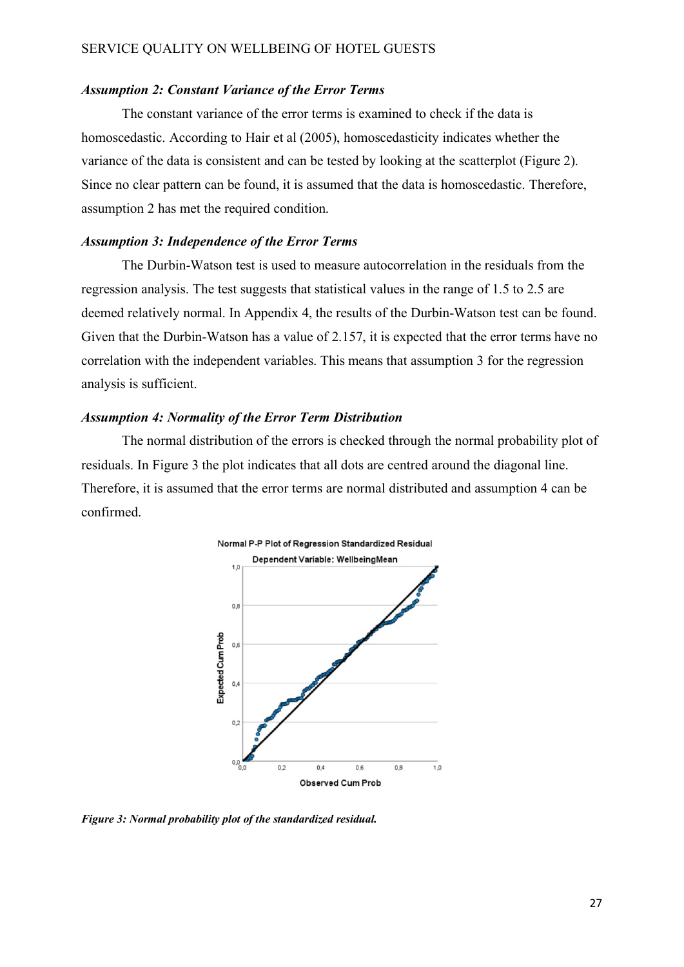#### *Assumption 2: Constant Variance of the Error Terms*

The constant variance of the error terms is examined to check if the data is homoscedastic. According to Hair et al (2005), homoscedasticity indicates whether the variance of the data is consistent and can be tested by looking at the scatterplot (Figure 2). Since no clear pattern can be found, it is assumed that the data is homoscedastic. Therefore, assumption 2 has met the required condition.

#### *Assumption 3: Independence of the Error Terms*

The Durbin-Watson test is used to measure autocorrelation in the residuals from the regression analysis. The test suggests that statistical values in the range of 1.5 to 2.5 are deemed relatively normal. In Appendix 4, the results of the Durbin-Watson test can be found. Given that the Durbin-Watson has a value of 2.157, it is expected that the error terms have no correlation with the independent variables. This means that assumption 3 for the regression analysis is sufficient.

#### *Assumption 4: Normality of the Error Term Distribution*

The normal distribution of the errors is checked through the normal probability plot of residuals. In Figure 3 the plot indicates that all dots are centred around the diagonal line. Therefore, it is assumed that the error terms are normal distributed and assumption 4 can be confirmed.



*Figure 3: Normal probability plot of the standardized residual.*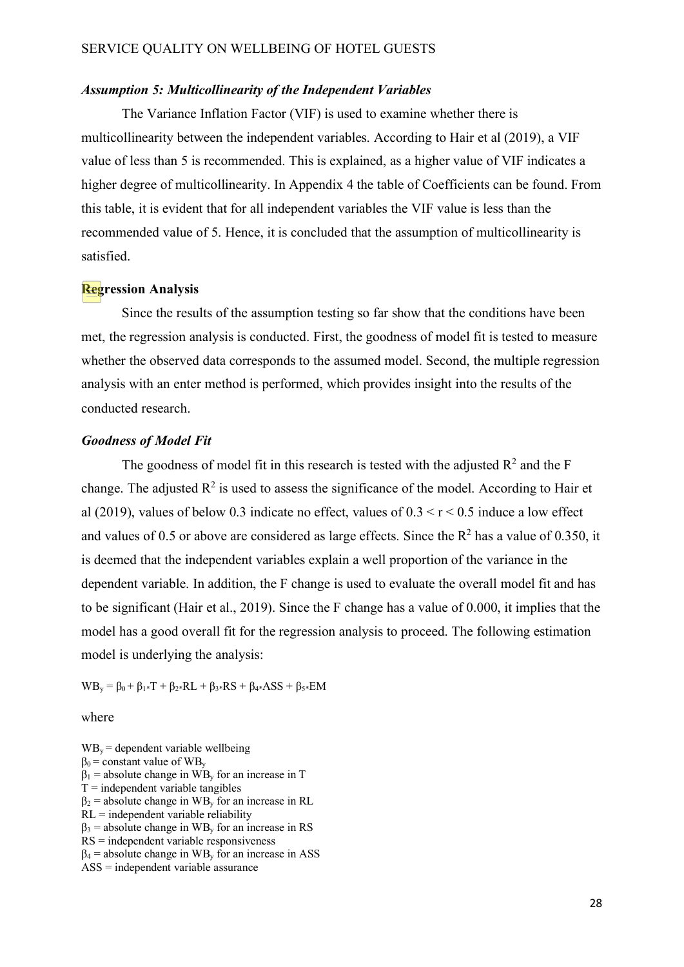#### *Assumption 5: Multicollinearity of the Independent Variables*

The Variance Inflation Factor (VIF) is used to examine whether there is multicollinearity between the independent variables. According to Hair et al (2019), a VIF value of less than 5 is recommended. This is explained, as a higher value of VIF indicates a higher degree of multicollinearity. In Appendix 4 the table of Coefficients can be found. From this table, it is evident that for all independent variables the VIF value is less than the recommended value of 5. Hence, it is concluded that the assumption of multicollinearity is satisfied.

#### **Regression Analysis**

Since the results of the assumption testing so far show that the conditions have been met, the regression analysis is conducted. First, the goodness of model fit is tested to measure whether the observed data corresponds to the assumed model. Second, the multiple regression analysis with an enter method is performed, which provides insight into the results of the conducted research.

#### *Goodness of Model Fit*

The goodness of model fit in this research is tested with the adjusted  $R^2$  and the F change. The adjusted  $\mathbb{R}^2$  is used to assess the significance of the model. According to Hair et al (2019), values of below 0.3 indicate no effect, values of  $0.3 \le r \le 0.5$  induce a low effect and values of 0.5 or above are considered as large effects. Since the  $R^2$  has a value of 0.350, it is deemed that the independent variables explain a well proportion of the variance in the dependent variable. In addition, the F change is used to evaluate the overall model fit and has to be significant (Hair et al., 2019). Since the F change has a value of 0.000, it implies that the model has a good overall fit for the regression analysis to proceed. The following estimation model is underlying the analysis:

 $WB_y = \beta_0 + \beta_{1*}T + \beta_{2*}RL + \beta_{3*}RS + \beta_{4*}ASS + \beta_{5*}EM$ 

#### where

 $WB_y =$  dependent variable wellbeing  $\beta_0$  = constant value of WB<sub>y</sub>  $\beta_1$  = absolute change in WB<sub>y</sub> for an increase in T  $T =$  independent variable tangibles  $\beta_2$  = absolute change in WB<sub>y</sub> for an increase in RL  $RL =$  independent variable reliability  $\beta_3$  = absolute change in WB<sub>y</sub> for an increase in RS RS = independent variable responsiveness  $\beta_4$  = absolute change in WB<sub>y</sub> for an increase in ASS ASS = independent variable assurance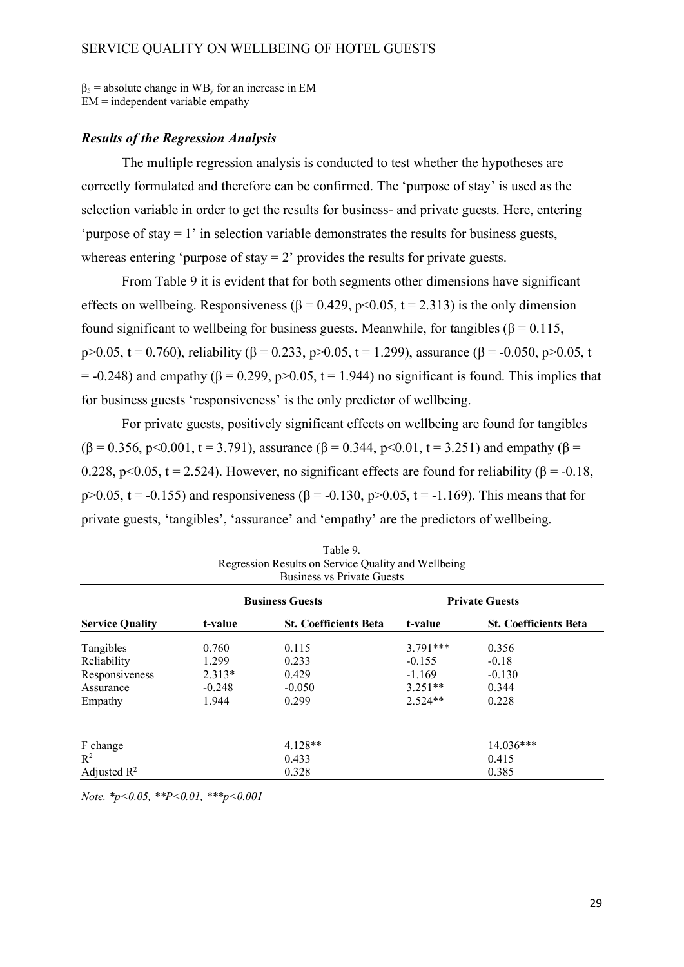$\beta_5$  = absolute change in WB<sub>y</sub> for an increase in EM  $EM =$  independent variable empathy

#### *Results of the Regression Analysis*

The multiple regression analysis is conducted to test whether the hypotheses are correctly formulated and therefore can be confirmed. The 'purpose of stay' is used as the selection variable in order to get the results for business- and private guests. Here, entering 'purpose of stay = 1' in selection variable demonstrates the results for business guests, whereas entering 'purpose of stay  $= 2$ ' provides the results for private guests.

From Table 9 it is evident that for both segments other dimensions have significant effects on wellbeing. Responsiveness ( $\beta$  = 0.429, p<0.05, t = 2.313) is the only dimension found significant to wellbeing for business guests. Meanwhile, for tangibles ( $\beta = 0.115$ , p>0.05, t = 0.760), reliability (β = 0.233, p>0.05, t = 1.299), assurance (β = -0.050, p>0.05, t  $= -0.248$ ) and empathy ( $\beta = 0.299$ , p $> 0.05$ , t = 1.944) no significant is found. This implies that for business guests 'responsiveness' is the only predictor of wellbeing.

For private guests, positively significant effects on wellbeing are found for tangibles  $(\beta = 0.356, p < 0.001, t = 3.791)$ , assurance  $(\beta = 0.344, p < 0.01, t = 3.251)$  and empathy  $(\beta = 0.356, p < 0.001, t = 3.791)$ 0.228, p<0.05, t = 2.524). However, no significant effects are found for reliability ( $\beta$  = -0.18, p>0.05, t = -0.155) and responsiveness (β = -0.130, p>0.05, t = -1.169). This means that for private guests, 'tangibles', 'assurance' and 'empathy' are the predictors of wellbeing.

|                         | <b>Business Guests</b> |                              |            | <b>Private Guests</b>        |  |
|-------------------------|------------------------|------------------------------|------------|------------------------------|--|
| <b>Service Quality</b>  | t-value                | <b>St. Coefficients Beta</b> | t-value    | <b>St. Coefficients Beta</b> |  |
| Tangibles               | 0.760                  | 0.115                        | $3.791***$ | 0.356                        |  |
| Reliability             | 1.299                  | 0.233                        | $-0.155$   | $-0.18$                      |  |
| Responsiveness          | $2.313*$               | 0.429                        | $-1.169$   | $-0.130$                     |  |
| Assurance               | $-0.248$               | $-0.050$                     | $3.251**$  | 0.344                        |  |
| Empathy                 | 1.944                  | 0.299                        | $2.524**$  | 0.228                        |  |
| F change                |                        | $4.128**$                    |            | 14.036***                    |  |
| $\mathbb{R}^2$          |                        | 0.433                        |            | 0.415                        |  |
| Adjusted $\mathbb{R}^2$ |                        | 0.328                        |            | 0.385                        |  |

| Table 9.                                            |
|-----------------------------------------------------|
| Regression Results on Service Quality and Wellbeing |
| <b>Business vs Private Guests</b>                   |

*Note. \*p<0.05, \*\*P<0.01, \*\*\*p<0.001*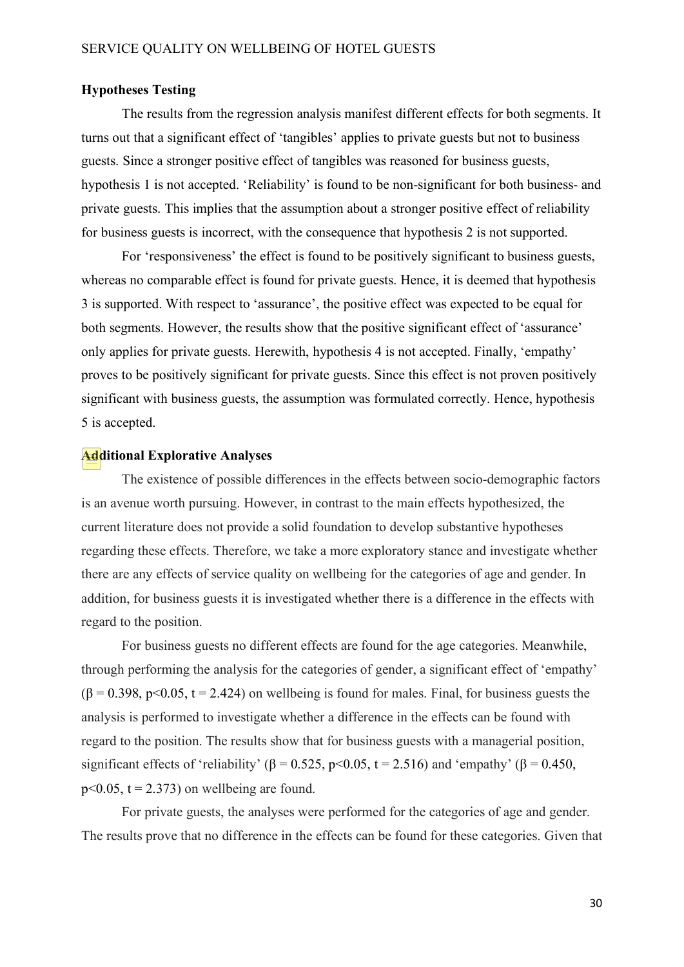#### **Hypotheses Testing**

The results from the regression analysis manifest different effects for both segments. It turns out that a significant effect of 'tangibles' applies to private guests but not to business guests. Since a stronger positive effect of tangibles was reasoned for business guests, hypothesis 1 is not accepted. 'Reliability' is found to be non-significant for both business- and private guests. This implies that the assumption about a stronger positive effect of reliability for business guests is incorrect, with the consequence that hypothesis 2 is not supported.

For 'responsiveness' the effect is found to be positively significant to business guests, whereas no comparable effect is found for private guests. Hence, it is deemed that hypothesis 3 is supported. With respect to 'assurance', the positive effect was expected to be equal for both segments. However, the results show that the positive significant effect of 'assurance' only applies for private guests. Herewith, hypothesis 4 is not accepted. Finally, 'empathy' proves to be positively significant for private guests. Since this effect is not proven positively significant with business guests, the assumption was formulated correctly. Hence, hypothesis 5 is accepted.

#### **Additional Explorative Analyses**

The existence of possible differences in the effects between socio-demographic factors is an avenue worth pursuing. However, in contrast to the main effects hypothesized, the current literature does not provide a solid foundation to develop substantive hypotheses regarding these effects. Therefore, we take a more exploratory stance and investigate whether there are any effects of service quality on wellbeing for the categories of age and gender. In addition, for business guests it is investigated whether there is a difference in the effects with regard to the position.

For business guests no different effects are found for the age categories. Meanwhile, through performing the analysis for the categories of gender, a significant effect of 'empathy'  $(\beta = 0.398, p<0.05, t = 2.424)$  on wellbeing is found for males. Final, for business guests the analysis is performed to investigate whether a difference in the effects can be found with regard to the position. The results show that for business guests with a managerial position, significant effects of 'reliability' ( $\beta$  = 0.525, p<0.05, t = 2.516) and 'empathy' ( $\beta$  = 0.450,  $p<0.05$ ,  $t = 2.373$ ) on wellbeing are found.

For private guests, the analyses were performed for the categories of age and gender. The results prove that no difference in the effects can be found for these categories. Given that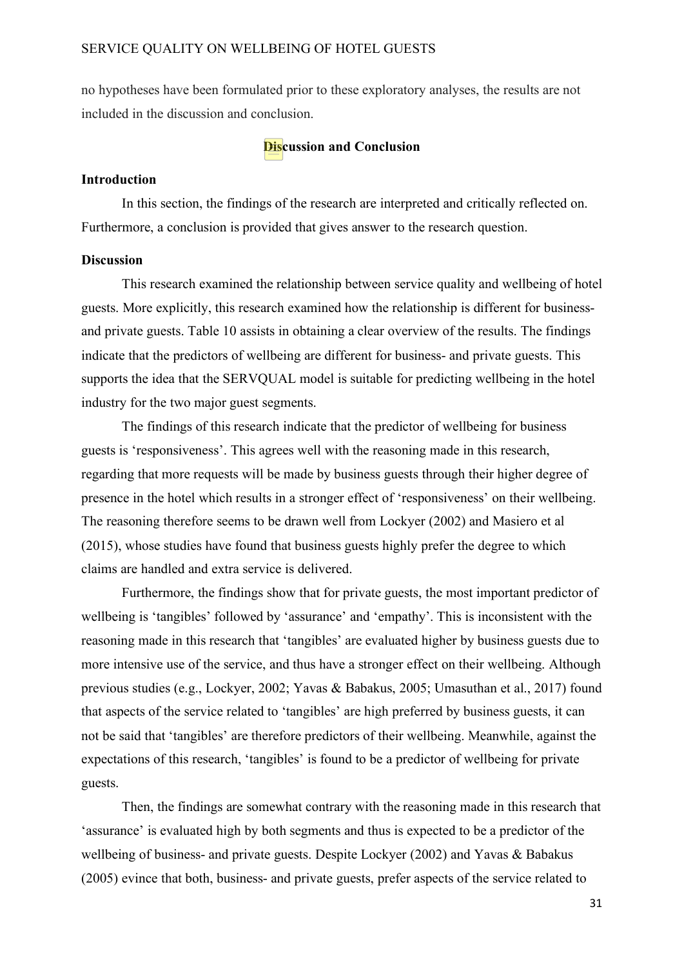no hypotheses have been formulated prior to these exploratory analyses, the results are not included in the discussion and conclusion.

#### **Discussion and Conclusion**

#### **Introduction**

In this section, the findings of the research are interpreted and critically reflected on. Furthermore, a conclusion is provided that gives answer to the research question.

#### **Discussion**

This research examined the relationship between service quality and wellbeing of hotel guests. More explicitly, this research examined how the relationship is different for businessand private guests. Table 10 assists in obtaining a clear overview of the results. The findings indicate that the predictors of wellbeing are different for business- and private guests. This supports the idea that the SERVQUAL model is suitable for predicting wellbeing in the hotel industry for the two major guest segments.

The findings of this research indicate that the predictor of wellbeing for business guests is 'responsiveness'. This agrees well with the reasoning made in this research, regarding that more requests will be made by business guests through their higher degree of presence in the hotel which results in a stronger effect of 'responsiveness' on their wellbeing. The reasoning therefore seems to be drawn well from Lockyer (2002) and Masiero et al (2015), whose studies have found that business guests highly prefer the degree to which claims are handled and extra service is delivered.

Furthermore, the findings show that for private guests, the most important predictor of wellbeing is 'tangibles' followed by 'assurance' and 'empathy'. This is inconsistent with the reasoning made in this research that 'tangibles' are evaluated higher by business guests due to more intensive use of the service, and thus have a stronger effect on their wellbeing. Although previous studies (e.g., Lockyer, 2002; Yavas & Babakus, 2005; Umasuthan et al., 2017) found that aspects of the service related to 'tangibles' are high preferred by business guests, it can not be said that 'tangibles' are therefore predictors of their wellbeing. Meanwhile, against the expectations of this research, 'tangibles' is found to be a predictor of wellbeing for private guests.

Then, the findings are somewhat contrary with the reasoning made in this research that 'assurance' is evaluated high by both segments and thus is expected to be a predictor of the wellbeing of business- and private guests. Despite Lockyer (2002) and Yavas & Babakus (2005) evince that both, business- and private guests, prefer aspects of the service related to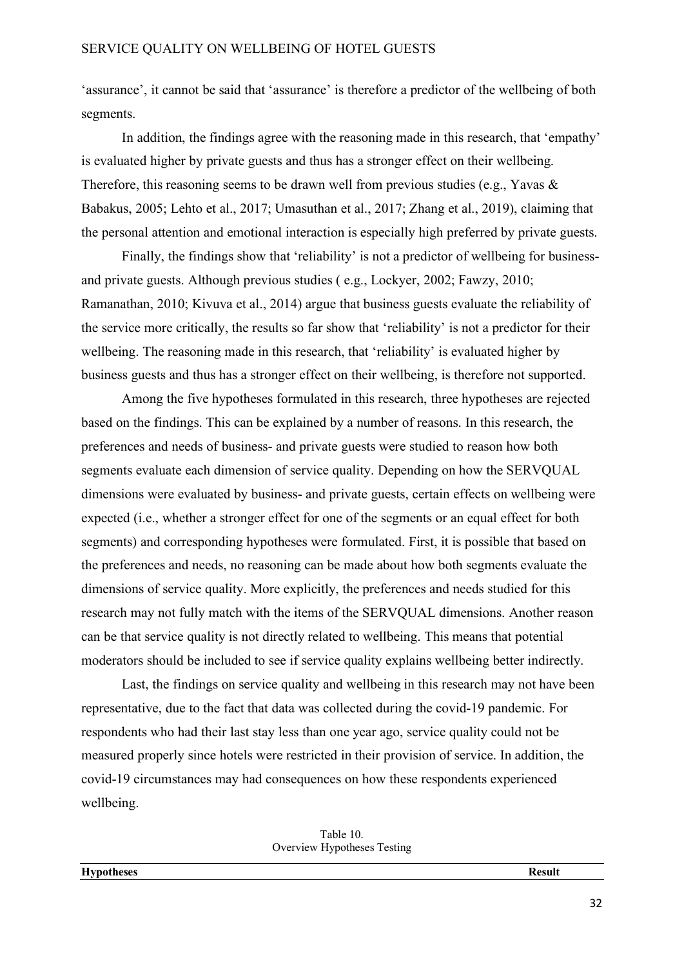'assurance', it cannot be said that 'assurance' is therefore a predictor of the wellbeing of both segments.

In addition, the findings agree with the reasoning made in this research, that 'empathy' is evaluated higher by private guests and thus has a stronger effect on their wellbeing. Therefore, this reasoning seems to be drawn well from previous studies (e.g., Yavas & Babakus, 2005; Lehto et al., 2017; Umasuthan et al., 2017; Zhang et al., 2019), claiming that the personal attention and emotional interaction is especially high preferred by private guests.

Finally, the findings show that 'reliability' is not a predictor of wellbeing for businessand private guests. Although previous studies ( e.g., Lockyer, 2002; Fawzy, 2010; Ramanathan, 2010; Kivuva et al., 2014) argue that business guests evaluate the reliability of the service more critically, the results so far show that 'reliability' is not a predictor for their wellbeing. The reasoning made in this research, that 'reliability' is evaluated higher by business guests and thus has a stronger effect on their wellbeing, is therefore not supported.

Among the five hypotheses formulated in this research, three hypotheses are rejected based on the findings. This can be explained by a number of reasons. In this research, the preferences and needs of business- and private guests were studied to reason how both segments evaluate each dimension of service quality. Depending on how the SERVQUAL dimensions were evaluated by business- and private guests, certain effects on wellbeing were expected (i.e., whether a stronger effect for one of the segments or an equal effect for both segments) and corresponding hypotheses were formulated. First, it is possible that based on the preferences and needs, no reasoning can be made about how both segments evaluate the dimensions of service quality. More explicitly, the preferences and needs studied for this research may not fully match with the items of the SERVQUAL dimensions. Another reason can be that service quality is not directly related to wellbeing. This means that potential moderators should be included to see if service quality explains wellbeing better indirectly.

Last, the findings on service quality and wellbeing in this research may not have been representative, due to the fact that data was collected during the covid-19 pandemic. For respondents who had their last stay less than one year ago, service quality could not be measured properly since hotels were restricted in their provision of service. In addition, the covid-19 circumstances may had consequences on how these respondents experienced wellbeing.

| Table 10.                   |  |
|-----------------------------|--|
| Overview Hypotheses Testing |  |

**Hypotheses Result**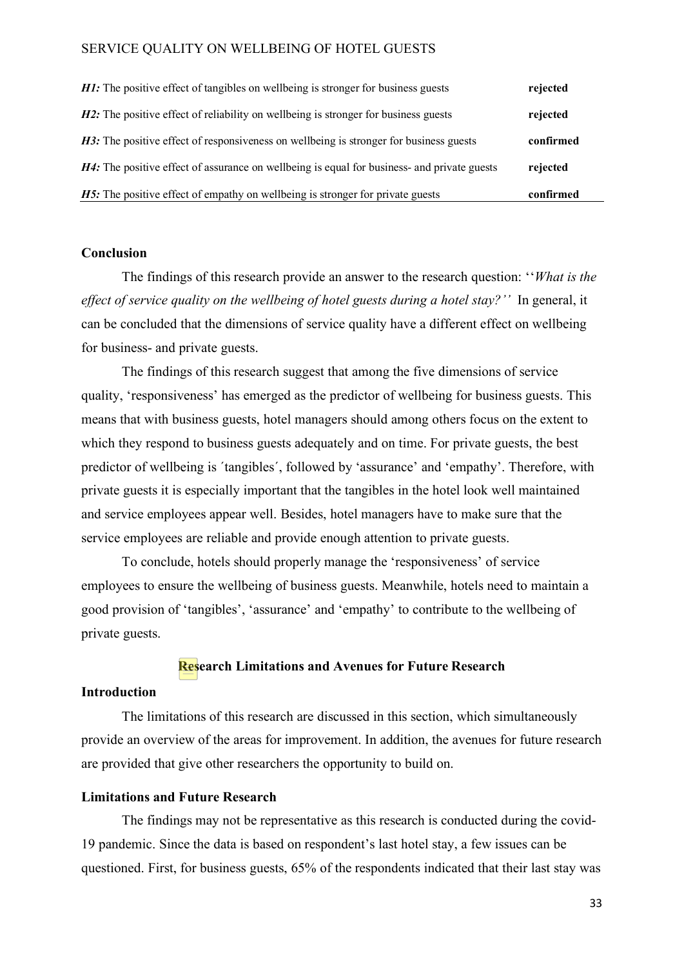| H4: The positive effect of assurance on wellbeing is equal for business- and private guests | rejected  |
|---------------------------------------------------------------------------------------------|-----------|
| H3: The positive effect of responsiveness on wellbeing is stronger for business guests      | confirmed |
| <b>H2:</b> The positive effect of reliability on wellbeing is stronger for business guests  | rejected  |
| <b>H1:</b> The positive effect of tangibles on wellbeing is stronger for business guests    | rejected  |

#### **Conclusion**

The findings of this research provide an answer to the research question: ''*What is the effect of service quality on the wellbeing of hotel guests during a hotel stay?''* In general, it can be concluded that the dimensions of service quality have a different effect on wellbeing for business- and private guests.

The findings of this research suggest that among the five dimensions of service quality, 'responsiveness' has emerged as the predictor of wellbeing for business guests. This means that with business guests, hotel managers should among others focus on the extent to which they respond to business guests adequately and on time. For private guests, the best predictor of wellbeing is ´tangibles´, followed by 'assurance' and 'empathy'. Therefore, with private guests it is especially important that the tangibles in the hotel look well maintained and service employees appear well. Besides, hotel managers have to make sure that the service employees are reliable and provide enough attention to private guests.

To conclude, hotels should properly manage the 'responsiveness' of service employees to ensure the wellbeing of business guests. Meanwhile, hotels need to maintain a good provision of 'tangibles', 'assurance' and 'empathy' to contribute to the wellbeing of private guests.

#### **Research Limitations and Avenues for Future Research**

#### **Introduction**

The limitations of this research are discussed in this section, which simultaneously provide an overview of the areas for improvement. In addition, the avenues for future research are provided that give other researchers the opportunity to build on.

#### **Limitations and Future Research**

The findings may not be representative as this research is conducted during the covid-19 pandemic. Since the data is based on respondent's last hotel stay, a few issues can be questioned. First, for business guests, 65% of the respondents indicated that their last stay was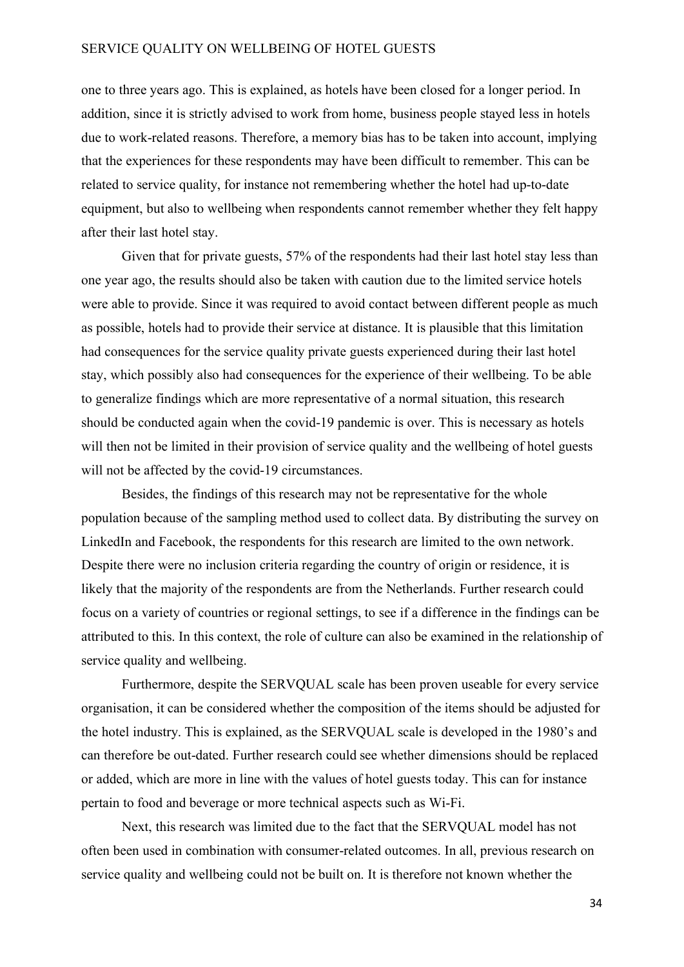one to three years ago. This is explained, as hotels have been closed for a longer period. In addition, since it is strictly advised to work from home, business people stayed less in hotels due to work-related reasons. Therefore, a memory bias has to be taken into account, implying that the experiences for these respondents may have been difficult to remember. This can be related to service quality, for instance not remembering whether the hotel had up-to-date equipment, but also to wellbeing when respondents cannot remember whether they felt happy after their last hotel stay.

Given that for private guests, 57% of the respondents had their last hotel stay less than one year ago, the results should also be taken with caution due to the limited service hotels were able to provide. Since it was required to avoid contact between different people as much as possible, hotels had to provide their service at distance. It is plausible that this limitation had consequences for the service quality private guests experienced during their last hotel stay, which possibly also had consequences for the experience of their wellbeing. To be able to generalize findings which are more representative of a normal situation, this research should be conducted again when the covid-19 pandemic is over. This is necessary as hotels will then not be limited in their provision of service quality and the wellbeing of hotel guests will not be affected by the covid-19 circumstances.

Besides, the findings of this research may not be representative for the whole population because of the sampling method used to collect data. By distributing the survey on LinkedIn and Facebook, the respondents for this research are limited to the own network. Despite there were no inclusion criteria regarding the country of origin or residence, it is likely that the majority of the respondents are from the Netherlands. Further research could focus on a variety of countries or regional settings, to see if a difference in the findings can be attributed to this. In this context, the role of culture can also be examined in the relationship of service quality and wellbeing.

Furthermore, despite the SERVQUAL scale has been proven useable for every service organisation, it can be considered whether the composition of the items should be adjusted for the hotel industry. This is explained, as the SERVQUAL scale is developed in the 1980's and can therefore be out-dated. Further research could see whether dimensions should be replaced or added, which are more in line with the values of hotel guests today. This can for instance pertain to food and beverage or more technical aspects such as Wi-Fi.

Next, this research was limited due to the fact that the SERVQUAL model has not often been used in combination with consumer-related outcomes. In all, previous research on service quality and wellbeing could not be built on. It is therefore not known whether the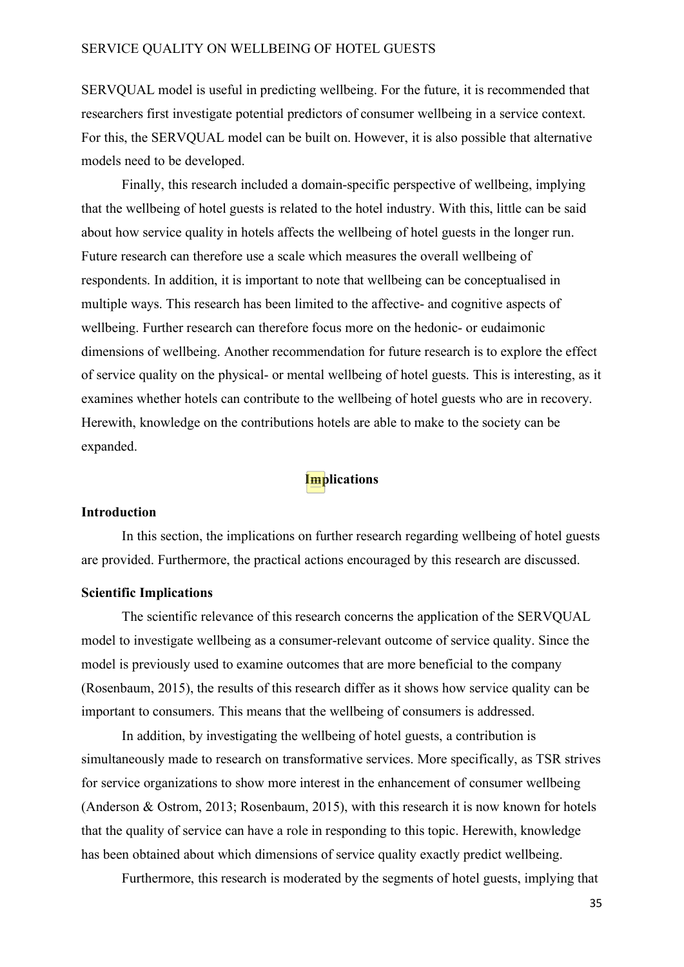SERVQUAL model is useful in predicting wellbeing. For the future, it is recommended that researchers first investigate potential predictors of consumer wellbeing in a service context. For this, the SERVQUAL model can be built on. However, it is also possible that alternative models need to be developed.

Finally, this research included a domain-specific perspective of wellbeing, implying that the wellbeing of hotel guests is related to the hotel industry. With this, little can be said about how service quality in hotels affects the wellbeing of hotel guests in the longer run. Future research can therefore use a scale which measures the overall wellbeing of respondents. In addition, it is important to note that wellbeing can be conceptualised in multiple ways. This research has been limited to the affective- and cognitive aspects of wellbeing. Further research can therefore focus more on the hedonic- or eudaimonic dimensions of wellbeing. Another recommendation for future research is to explore the effect of service quality on the physical- or mental wellbeing of hotel guests. This is interesting, as it examines whether hotels can contribute to the wellbeing of hotel guests who are in recovery. Herewith, knowledge on the contributions hotels are able to make to the society can be expanded.

# **Implications**

#### **Introduction**

In this section, the implications on further research regarding wellbeing of hotel guests are provided. Furthermore, the practical actions encouraged by this research are discussed.

#### **Scientific Implications**

The scientific relevance of this research concerns the application of the SERVQUAL model to investigate wellbeing as a consumer-relevant outcome of service quality. Since the model is previously used to examine outcomes that are more beneficial to the company (Rosenbaum, 2015), the results of this research differ as it shows how service quality can be important to consumers. This means that the wellbeing of consumers is addressed.

In addition, by investigating the wellbeing of hotel guests, a contribution is simultaneously made to research on transformative services. More specifically, as TSR strives for service organizations to show more interest in the enhancement of consumer wellbeing (Anderson & Ostrom, 2013; Rosenbaum, 2015), with this research it is now known for hotels that the quality of service can have a role in responding to this topic. Herewith, knowledge has been obtained about which dimensions of service quality exactly predict wellbeing.

Furthermore, this research is moderated by the segments of hotel guests, implying that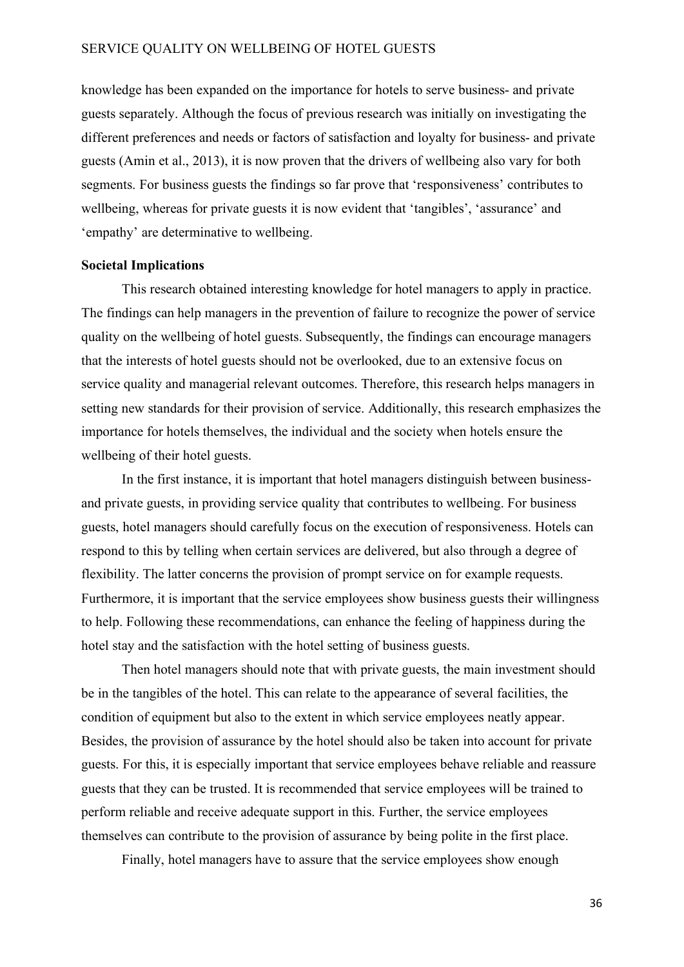knowledge has been expanded on the importance for hotels to serve business- and private guests separately. Although the focus of previous research was initially on investigating the different preferences and needs or factors of satisfaction and loyalty for business- and private guests (Amin et al., 2013), it is now proven that the drivers of wellbeing also vary for both segments. For business guests the findings so far prove that 'responsiveness' contributes to wellbeing, whereas for private guests it is now evident that 'tangibles', 'assurance' and 'empathy' are determinative to wellbeing.

#### **Societal Implications**

This research obtained interesting knowledge for hotel managers to apply in practice. The findings can help managers in the prevention of failure to recognize the power of service quality on the wellbeing of hotel guests. Subsequently, the findings can encourage managers that the interests of hotel guests should not be overlooked, due to an extensive focus on service quality and managerial relevant outcomes. Therefore, this research helps managers in setting new standards for their provision of service. Additionally, this research emphasizes the importance for hotels themselves, the individual and the society when hotels ensure the wellbeing of their hotel guests.

In the first instance, it is important that hotel managers distinguish between businessand private guests, in providing service quality that contributes to wellbeing. For business guests, hotel managers should carefully focus on the execution of responsiveness. Hotels can respond to this by telling when certain services are delivered, but also through a degree of flexibility. The latter concerns the provision of prompt service on for example requests. Furthermore, it is important that the service employees show business guests their willingness to help. Following these recommendations, can enhance the feeling of happiness during the hotel stay and the satisfaction with the hotel setting of business guests.

Then hotel managers should note that with private guests, the main investment should be in the tangibles of the hotel. This can relate to the appearance of several facilities, the condition of equipment but also to the extent in which service employees neatly appear. Besides, the provision of assurance by the hotel should also be taken into account for private guests. For this, it is especially important that service employees behave reliable and reassure guests that they can be trusted. It is recommended that service employees will be trained to perform reliable and receive adequate support in this. Further, the service employees themselves can contribute to the provision of assurance by being polite in the first place.

Finally, hotel managers have to assure that the service employees show enough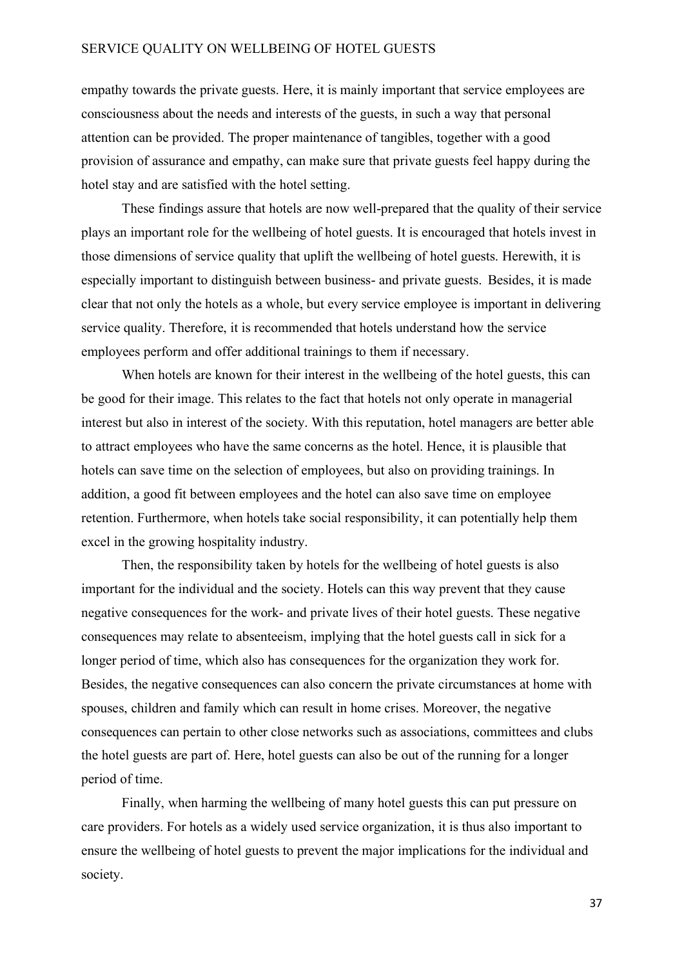empathy towards the private guests. Here, it is mainly important that service employees are consciousness about the needs and interests of the guests, in such a way that personal attention can be provided. The proper maintenance of tangibles, together with a good provision of assurance and empathy, can make sure that private guests feel happy during the hotel stay and are satisfied with the hotel setting.

These findings assure that hotels are now well-prepared that the quality of their service plays an important role for the wellbeing of hotel guests. It is encouraged that hotels invest in those dimensions of service quality that uplift the wellbeing of hotel guests. Herewith, it is especially important to distinguish between business- and private guests. Besides, it is made clear that not only the hotels as a whole, but every service employee is important in delivering service quality. Therefore, it is recommended that hotels understand how the service employees perform and offer additional trainings to them if necessary.

When hotels are known for their interest in the wellbeing of the hotel guests, this can be good for their image. This relates to the fact that hotels not only operate in managerial interest but also in interest of the society. With this reputation, hotel managers are better able to attract employees who have the same concerns as the hotel. Hence, it is plausible that hotels can save time on the selection of employees, but also on providing trainings. In addition, a good fit between employees and the hotel can also save time on employee retention. Furthermore, when hotels take social responsibility, it can potentially help them excel in the growing hospitality industry.

Then, the responsibility taken by hotels for the wellbeing of hotel guests is also important for the individual and the society. Hotels can this way prevent that they cause negative consequences for the work- and private lives of their hotel guests. These negative consequences may relate to absenteeism, implying that the hotel guests call in sick for a longer period of time, which also has consequences for the organization they work for. Besides, the negative consequences can also concern the private circumstances at home with spouses, children and family which can result in home crises. Moreover, the negative consequences can pertain to other close networks such as associations, committees and clubs the hotel guests are part of. Here, hotel guests can also be out of the running for a longer period of time.

Finally, when harming the wellbeing of many hotel guests this can put pressure on care providers. For hotels as a widely used service organization, it is thus also important to ensure the wellbeing of hotel guests to prevent the major implications for the individual and society.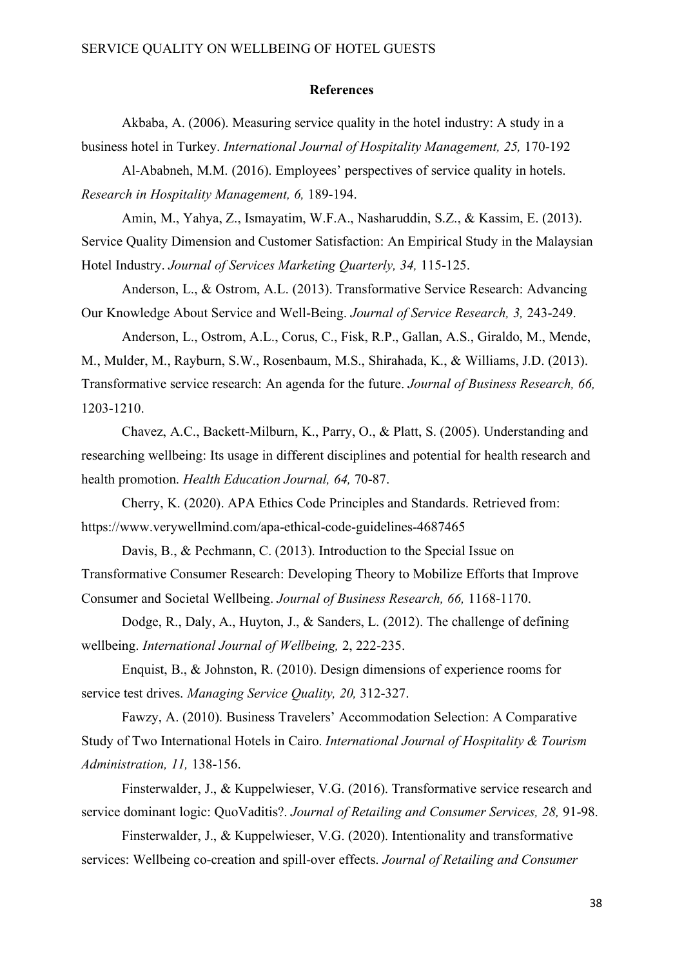#### **References**

Akbaba, A. (2006). Measuring service quality in the hotel industry: A study in a business hotel in Turkey. *International Journal of Hospitality Management, 25,* 170-192

Al-Ababneh, M.M. (2016). Employees' perspectives of service quality in hotels. *Research in Hospitality Management, 6,* 189-194.

Amin, M., Yahya, Z., Ismayatim, W.F.A., Nasharuddin, S.Z., & Kassim, E. (2013). Service Quality Dimension and Customer Satisfaction: An Empirical Study in the Malaysian Hotel Industry. *Journal of Services Marketing Quarterly, 34,* 115-125.

Anderson, L., & Ostrom, A.L. (2013). Transformative Service Research: Advancing Our Knowledge About Service and Well-Being. *Journal of Service Research, 3,* 243-249.

Anderson, L., Ostrom, A.L., Corus, C., Fisk, R.P., Gallan, A.S., Giraldo, M., Mende, M., Mulder, M., Rayburn, S.W., Rosenbaum, M.S., Shirahada, K., & Williams, J.D. (2013). Transformative service research: An agenda for the future. *Journal of Business Research, 66,*  1203-1210.

Chavez, A.C., Backett-Milburn, K., Parry, O., & Platt, S. (2005). Understanding and researching wellbeing: Its usage in different disciplines and potential for health research and health promotion. *Health Education Journal, 64,* 70-87.

Cherry, K. (2020). APA Ethics Code Principles and Standards. Retrieved from: <https://www.verywellmind.com/apa-ethical-code-guidelines-4687465>

Davis, B., & Pechmann, C. (2013). Introduction to the Special Issue on Transformative Consumer Research: Developing Theory to Mobilize Efforts that Improve Consumer and Societal Wellbeing. *Journal of Business Research, 66,* 1168-1170.

Dodge, R., Daly, A., Huyton, J., & Sanders, L. (2012). The challenge of defining wellbeing. *International Journal of Wellbeing,* 2, 222-235.

Enquist, B., & Johnston, R. (2010). Design dimensions of experience rooms for service test drives. *Managing Service Quality, 20,* 312-327.

Fawzy, A. (2010). Business Travelers' Accommodation Selection: A Comparative Study of Two International Hotels in Cairo. *International Journal of Hospitality & Tourism Administration, 11,* 138-156.

Finsterwalder, J., & Kuppelwieser, V.G. (2016). Transformative service research and service dominant logic: QuoVaditis?. *Journal of Retailing and Consumer Services, 28,* 91-98.

Finsterwalder, J., & Kuppelwieser, V.G. (2020). Intentionality and transformative services: Wellbeing co-creation and spill-over effects. *Journal of Retailing and Consumer*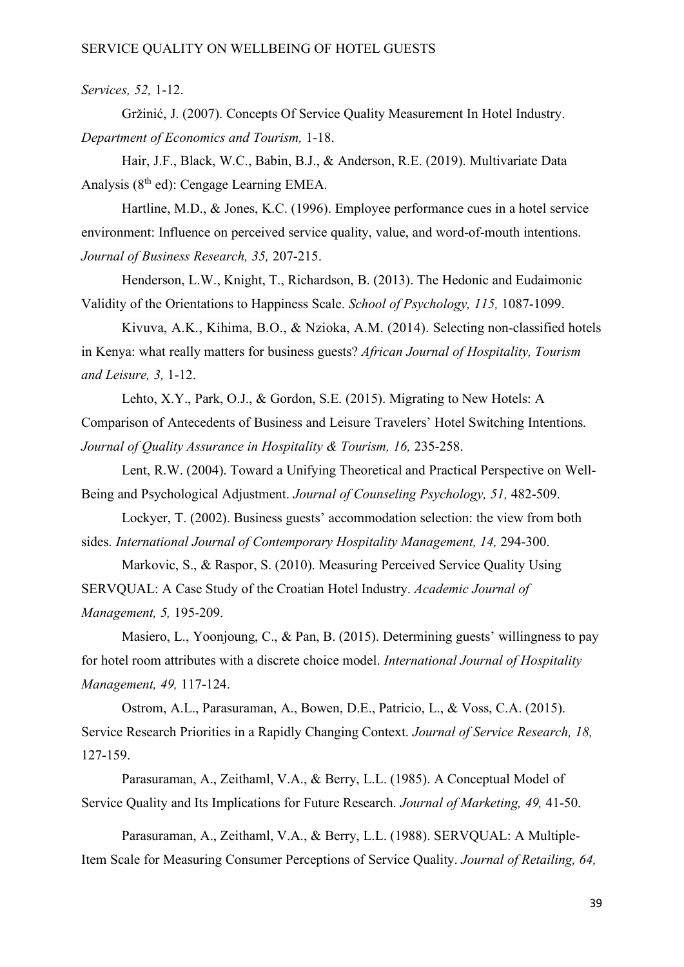#### *Services, 52,* 1-12.

Gržinić, J. (2007). Concepts Of Service Quality Measurement In Hotel Industry. *Department of Economics and Tourism,* 1-18.

Hair, J.F., Black, W.C., Babin, B.J., & Anderson, R.E. (2019). Multivariate Data Analysis (8<sup>th</sup> ed): Cengage Learning EMEA.

Hartline, M.D., & Jones, K.C. (1996). Employee performance cues in a hotel service environment: Influence on perceived service quality, value, and word-of-mouth intentions. *Journal of Business Research, 35,* 207-215.

Henderson, L.W., Knight, T., Richardson, B. (2013). The Hedonic and Eudaimonic Validity of the Orientations to Happiness Scale. *School of Psychology, 115,* 1087-1099.

Kivuva, A.K., Kihima, B.O., & Nzioka, A.M. (2014). Selecting non-classified hotels in Kenya: what really matters for business guests? *African Journal of Hospitality, Tourism and Leisure, 3,* 1-12.

Lehto, X.Y., Park, O.J., & Gordon, S.E. (2015). Migrating to New Hotels: A Comparison of Antecedents of Business and Leisure Travelers' Hotel Switching Intentions. Journal of Quality Assurance in Hospitality & Tourism, 16, 235-258.

Lent, R.W. (2004). Toward a Unifying Theoretical and Practical Perspective on Well-Being and Psychological Adjustment. *Journal of Counseling Psychology, 51,* 482-509.

Lockyer, T. (2002). Business guests' accommodation selection: the view from both sides. *International Journal of Contemporary Hospitality Management, 14, 294-300.* 

Markovic, S., & Raspor, S. (2010). Measuring Perceived Service Quality Using SERVQUAL: A Case Study of the Croatian Hotel Industry. *Academic Journal of Management, 5,* 195-209.

Masiero, L., Yoonjoung, C., & Pan, B. (2015). Determining guests' willingness to pay for hotel room attributes with a discrete choice model. *International Journal of Hospitality Management, 49,* 117-124.

Ostrom, A.L., Parasuraman, A., Bowen, D.E., Patricio, L., & Voss, C.A. (2015). Service Research Priorities in a Rapidly Changing Context. *Journal of Service Research, 18,*  127-159.

Parasuraman, A., Zeithaml, V.A., & Berry, L.L. (1985). A Conceptual Model of Service Quality and Its Implications for Future Research. *Journal of Marketing, 49,* 41-50.

Parasuraman, A., Zeithaml, V.A., & Berry, L.L. (1988). SERVQUAL: A Multiple-Item Scale for Measuring Consumer Perceptions of Service Quality. *Journal of Retailing, 64,*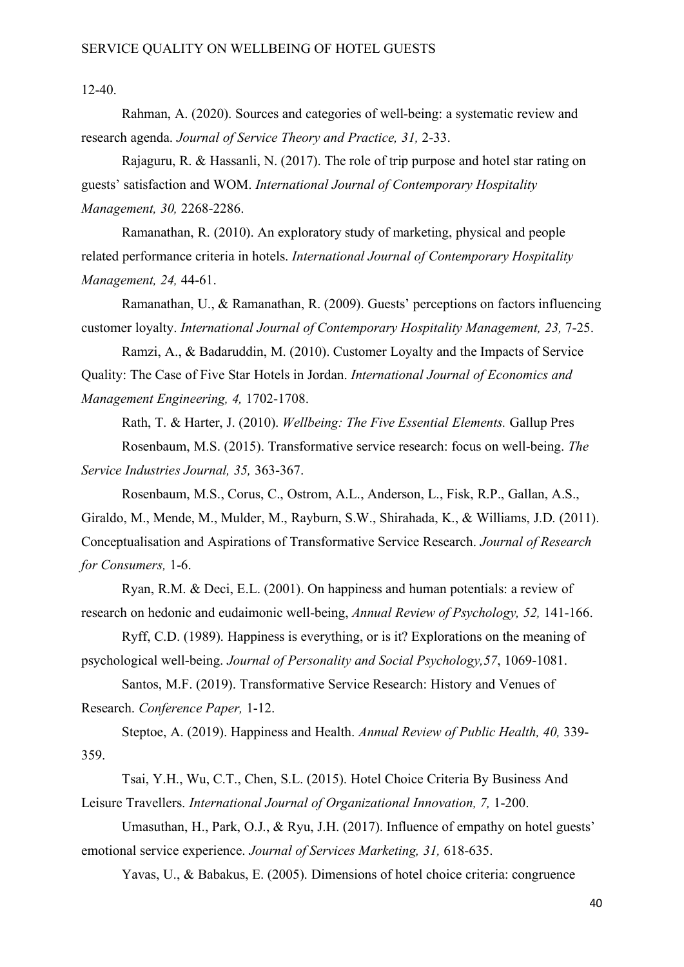12-40.

Rahman, A. (2020). Sources and categories of well-being: a systematic review and research agenda. *Journal of Service Theory and Practice, 31,* 2-33.

Rajaguru, R. & Hassanli, N. (2017). The role of trip purpose and hotel star rating on guests' satisfaction and WOM. *International Journal of Contemporary Hospitality Management, 30,* 2268-2286.

Ramanathan, R. (2010). An exploratory study of marketing, physical and people related performance criteria in hotels. *International Journal of Contemporary Hospitality Management, 24,* 44-61.

Ramanathan, U., & Ramanathan, R. (2009). Guests' perceptions on factors influencing customer loyalty. *International Journal of Contemporary Hospitality Management, 23, 7-25.* 

Ramzi, A., & Badaruddin, M. (2010). Customer Loyalty and the Impacts of Service Quality: The Case of Five Star Hotels in Jordan. *International Journal of Economics and Management Engineering, 4,* 1702-1708.

Rath, T. & Harter, J. (2010). *Wellbeing: The Five Essential Elements.* Gallup Pres Rosenbaum, M.S. (2015). Transformative service research: focus on well-being. *The Service Industries Journal, 35,* 363-367.

Rosenbaum, M.S., Corus, C., Ostrom, A.L., Anderson, L., Fisk, R.P., Gallan, A.S., Giraldo, M., Mende, M., Mulder, M., Rayburn, S.W., Shirahada, K., & Williams, J.D. (2011). Conceptualisation and Aspirations of Transformative Service Research. *Journal of Research for Consumers,* 1-6.

Ryan, R.M. & Deci, E.L. (2001). On happiness and human potentials: a review of research on hedonic and eudaimonic well-being, *Annual Review of Psychology, 52,* 141-166.

Ryff, C.D. (1989). Happiness is everything, or is it? Explorations on the meaning of psychological well-being. *Journal of Personality and Social Psychology,57*, 1069-1081.

Santos, M.F. (2019). Transformative Service Research: History and Venues of Research. *Conference Paper,* 1-12.

Steptoe, A. (2019). Happiness and Health. *Annual Review of Public Health, 40,* 339- 359.

Tsai, Y.H., Wu, C.T., Chen, S.L. (2015). Hotel Choice Criteria By Business And Leisure Travellers. *International Journal of Organizational Innovation, 7,* 1-200.

Umasuthan, H., Park, O.J., & Ryu, J.H. (2017). Influence of empathy on hotel guests' emotional service experience. *Journal of Services Marketing, 31,* 618-635.

Yavas, U., & Babakus, E. (2005). Dimensions of hotel choice criteria: congruence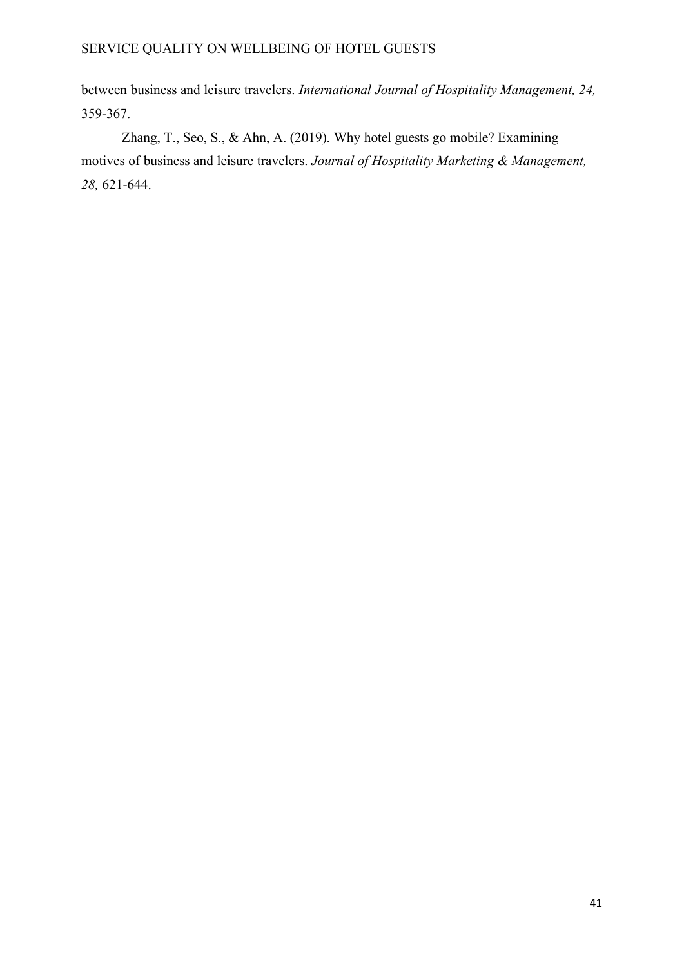between business and leisure travelers. *International Journal of Hospitality Management, 24,*  359-367.

Zhang, T., Seo, S., & Ahn, A. (2019). Why hotel guests go mobile? Examining motives of business and leisure travelers. *Journal of Hospitality Marketing & Management, 28,* 621-644.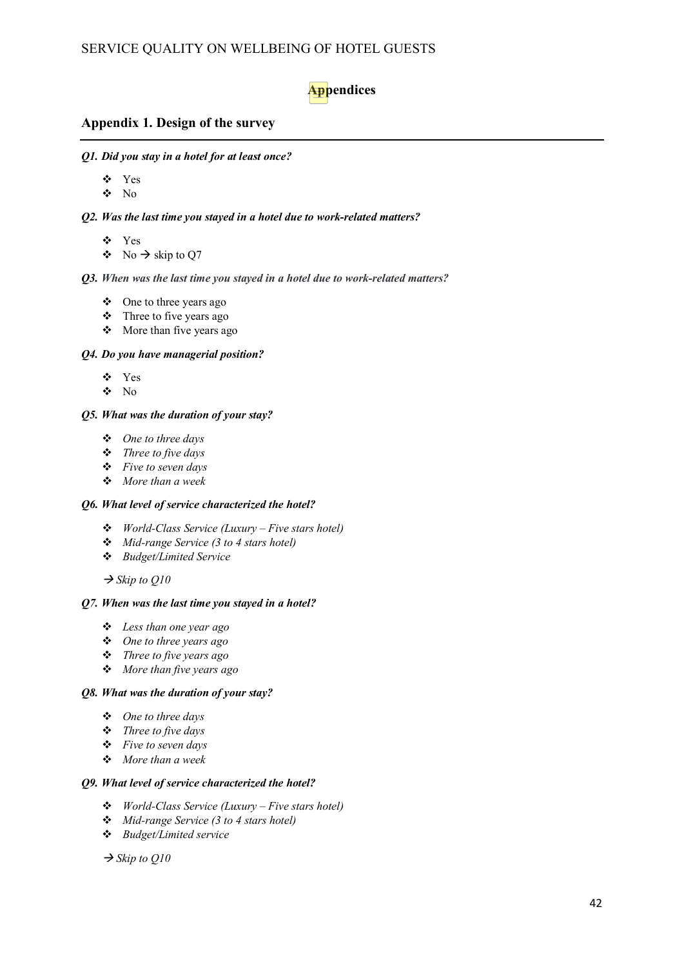# **Appendices**

#### **Appendix 1. Design of the survey**

*Q1. Did you stay in a hotel for at least once?*

- Yes
- $\bullet$  No

#### *Q2. Was the last time you stayed in a hotel due to work-related matters?*

- Yes
- $\bullet$  No  $\rightarrow$  skip to Q7

#### *Q3. When was the last time you stayed in a hotel due to work-related matters?*

- One to three years ago
- Three to five years ago
- More than five years ago

#### *Q4. Do you have managerial position?*

- Yes
- $\bullet$  No

#### *Q5. What was the duration of your stay?*

- *One to three days*
- *Three to five days*
- *Five to seven days*
- *More than a week*

#### *Q6. What level of service characterized the hotel?*

- *World-Class Service (Luxury – Five stars hotel)*
- *Mid-range Service (3 to 4 stars hotel)*
- *Budget/Limited Service*

 $\rightarrow$  *Skip to Q10* 

#### *Q7. When was the last time you stayed in a hotel?*

- *Less than one year ago*
- *One to three years ago*
- *Three to five years ago*
- *More than five years ago*

#### *Q8. What was the duration of your stay?*

- *One to three days*
- *Three to five days*
- *Five to seven days*
- *More than a week*

#### *Q9. What level of service characterized the hotel?*

- *World-Class Service (Luxury – Five stars hotel)*
- *Mid-range Service (3 to 4 stars hotel)*
- *Budget/Limited service*

 $\rightarrow$  *Skip to Q10*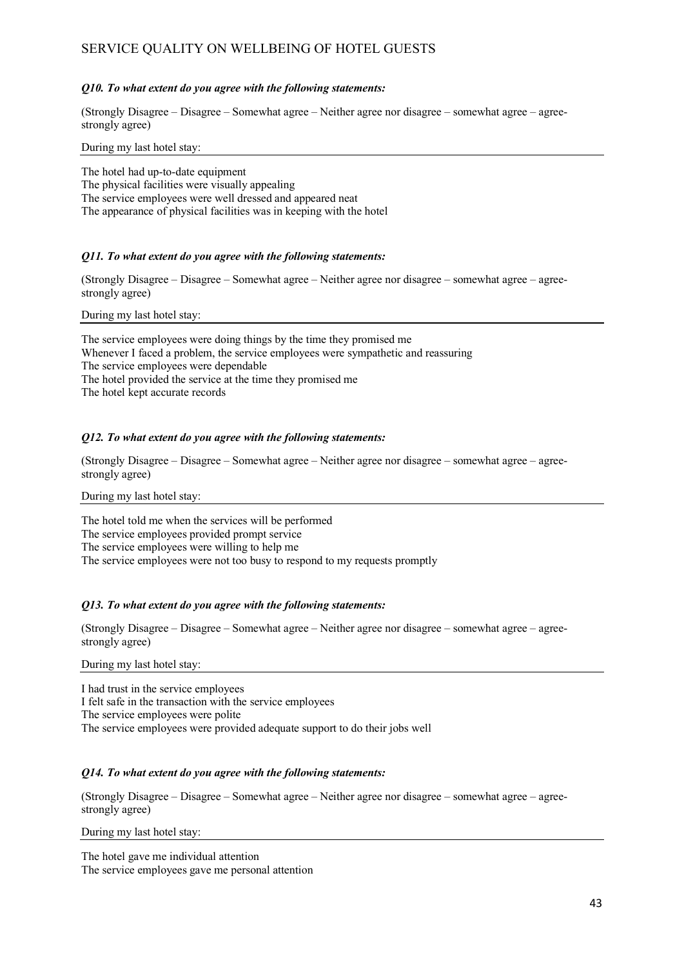#### *Q10. To what extent do you agree with the following statements:*

(Strongly Disagree – Disagree – Somewhat agree – Neither agree nor disagree – somewhat agree – agreestrongly agree)

During my last hotel stay:

The hotel had up-to-date equipment The physical facilities were visually appealing The service employees were well dressed and appeared neat The appearance of physical facilities was in keeping with the hotel

#### *Q11. To what extent do you agree with the following statements:*

(Strongly Disagree – Disagree – Somewhat agree – Neither agree nor disagree – somewhat agree – agreestrongly agree)

During my last hotel stay:

The service employees were doing things by the time they promised me Whenever I faced a problem, the service employees were sympathetic and reassuring The service employees were dependable The hotel provided the service at the time they promised me The hotel kept accurate records

#### *Q12. To what extent do you agree with the following statements:*

(Strongly Disagree – Disagree – Somewhat agree – Neither agree nor disagree – somewhat agree – agreestrongly agree)

#### During my last hotel stay:

The hotel told me when the services will be performed The service employees provided prompt service The service employees were willing to help me The service employees were not too busy to respond to my requests promptly

#### *Q13. To what extent do you agree with the following statements:*

(Strongly Disagree – Disagree – Somewhat agree – Neither agree nor disagree – somewhat agree – agreestrongly agree)

During my last hotel stay:

I had trust in the service employees I felt safe in the transaction with the service employees The service employees were polite The service employees were provided adequate support to do their jobs well

#### *Q14. To what extent do you agree with the following statements:*

(Strongly Disagree – Disagree – Somewhat agree – Neither agree nor disagree – somewhat agree – agreestrongly agree)

During my last hotel stay:

The hotel gave me individual attention The service employees gave me personal attention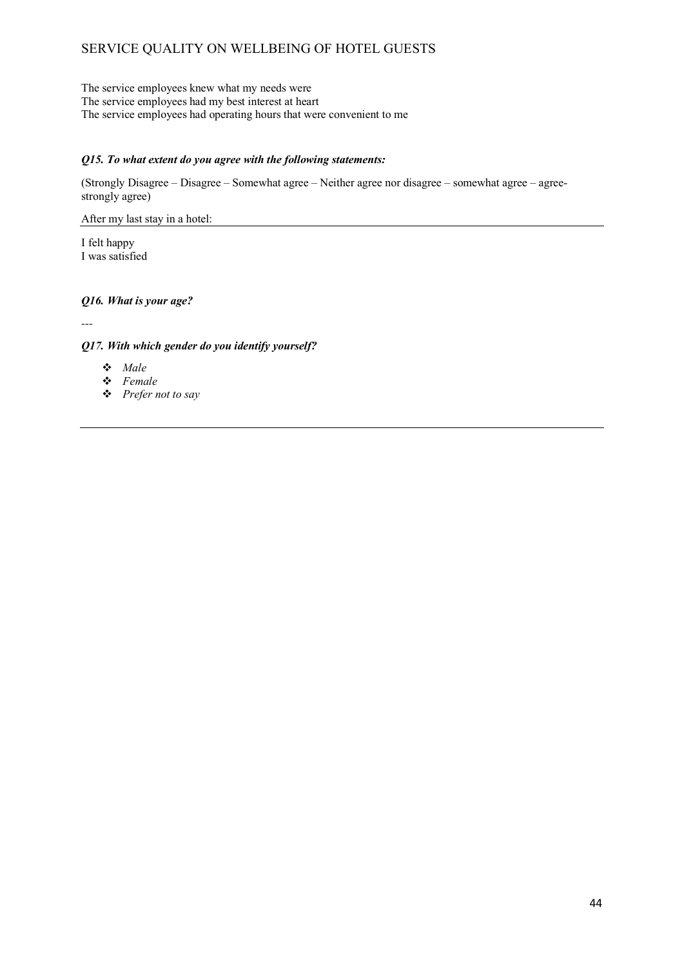The service employees knew what my needs were The service employees had my best interest at heart The service employees had operating hours that were convenient to me

#### *Q15. To what extent do you agree with the following statements:*

(Strongly Disagree – Disagree – Somewhat agree – Neither agree nor disagree – somewhat agree – agreestrongly agree)

After my last stay in a hotel:

I felt happy I was satisfied

#### *Q16. What is your age?*

*---*

#### *Q17. With which gender do you identify yourself?*

- *Male*
- *Female*
- *Prefer not to say*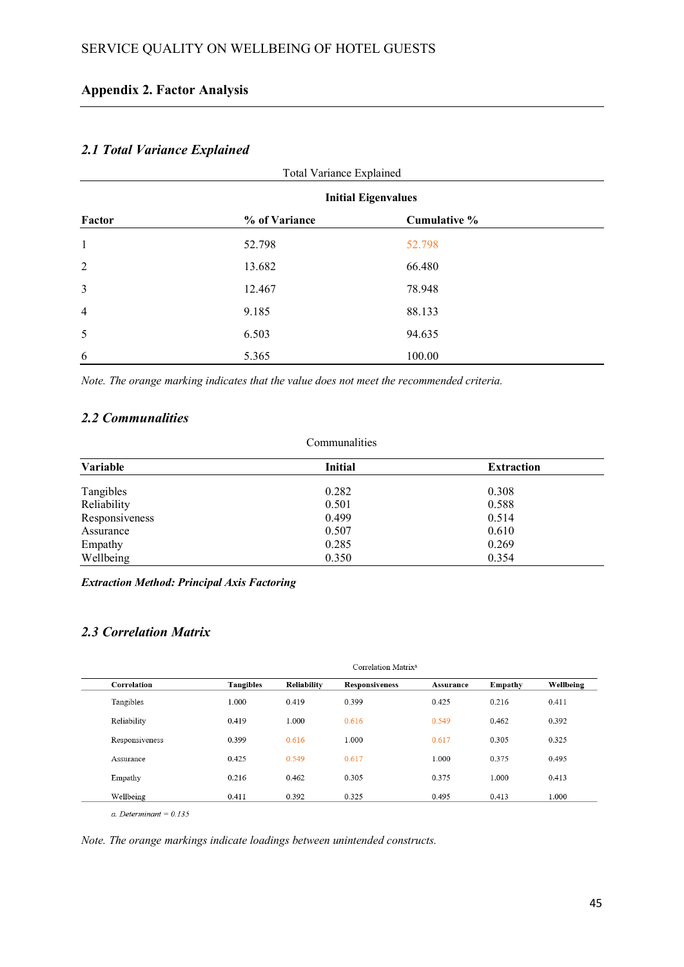# **Appendix 2. Factor Analysis**

## *2.1 Total Variance Explained*

| Total Variance Explained |                            |              |  |  |  |  |
|--------------------------|----------------------------|--------------|--|--|--|--|
|                          | <b>Initial Eigenvalues</b> |              |  |  |  |  |
| Factor                   | % of Variance              | Cumulative % |  |  |  |  |
| $\mathbf{1}$             | 52.798                     | 52.798       |  |  |  |  |
| $\overline{2}$           | 13.682                     | 66.480       |  |  |  |  |
| $\mathfrak{Z}$           | 12.467                     | 78.948       |  |  |  |  |
| $\overline{4}$           | 9.185                      | 88.133       |  |  |  |  |
| 5                        | 6.503                      | 94.635       |  |  |  |  |
| 6                        | 5.365                      | 100.00       |  |  |  |  |

*Note. The orange marking indicates that the value does not meet the recommended criteria.* 

## *2.2 Communalities*

| Communalities  |                |                   |  |  |
|----------------|----------------|-------------------|--|--|
| Variable       | <b>Initial</b> | <b>Extraction</b> |  |  |
| Tangibles      | 0.282          | 0.308             |  |  |
| Reliability    | 0.501          | 0.588             |  |  |
| Responsiveness | 0.499          | 0.514             |  |  |
| Assurance      | 0.507          | 0.610             |  |  |
| Empathy        | 0.285          | 0.269             |  |  |
| Wellbeing      | 0.350          | 0.354             |  |  |

*Extraction Method: Principal Axis Factoring*

## *2.3 Correlation Matrix*

|                | Correlation Matrix <sup>a</sup> |             |                       |           |         |           |
|----------------|---------------------------------|-------------|-----------------------|-----------|---------|-----------|
| Correlation    | <b>Tangibles</b>                | Reliability | <b>Responsiveness</b> | Assurance | Empathy | Wellbeing |
| Tangibles      | 1.000                           | 0.419       | 0.399                 | 0.425     | 0.216   | 0.411     |
| Reliability    | 0.419                           | 1.000       | 0.616                 | 0.549     | 0.462   | 0.392     |
| Responsiveness | 0.399                           | 0.616       | 1.000                 | 0.617     | 0.305   | 0.325     |
| Assurance      | 0.425                           | 0.549       | 0.617                 | 1.000     | 0.375   | 0.495     |
| Empathy        | 0.216                           | 0.462       | 0.305                 | 0.375     | 1.000   | 0.413     |
| Wellbeing      | 0.411                           | 0.392       | 0.325                 | 0.495     | 0.413   | 1.000     |

 $a.$  Determinant = 0.135

*Note. The orange markings indicate loadings between unintended constructs.*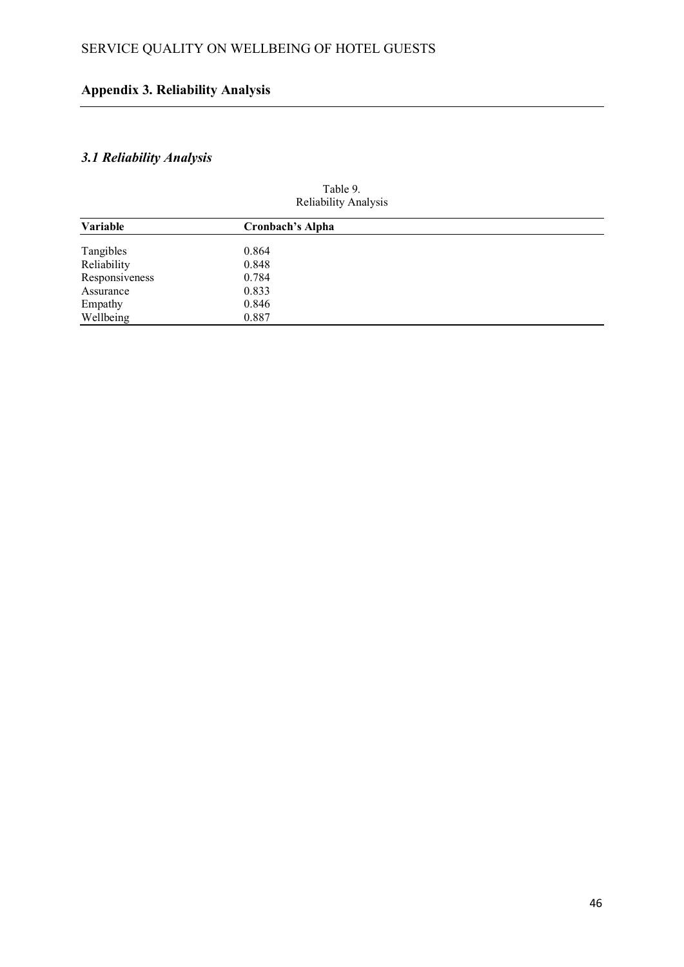# **Appendix 3. Reliability Analysis**

# *3.1 Reliability Analysis*

| Reliability Analysis |                         |  |  |
|----------------------|-------------------------|--|--|
| Variable             | <b>Cronbach's Alpha</b> |  |  |
| Tangibles            | 0.864                   |  |  |
| Reliability          | 0.848                   |  |  |
| Responsiveness       | 0.784                   |  |  |
| Assurance            | 0.833                   |  |  |
| Empathy              | 0.846                   |  |  |
| Wellbeing            | 0.887                   |  |  |

Table 9.